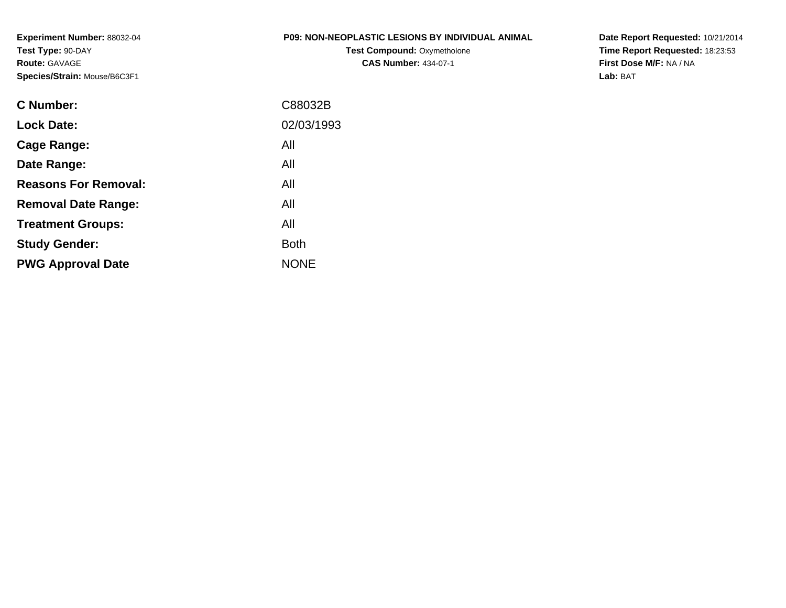**Experiment Number:** 88032-04**Test Type:** 90-DAY**Route:** GAVAGE**Species/Strain:** Mouse/B6C3F1

## **P09: NON-NEOPLASTIC LESIONS BY INDIVIDUAL ANIMAL**

**Test Compound:** Oxymetholone**CAS Number:** 434-07-1

**Date Report Requested:** 10/21/2014 **Time Report Requested:** 18:23:53**First Dose M/F:** NA / NA**Lab:** BAT

| C Number:                   | C88032B     |
|-----------------------------|-------------|
| <b>Lock Date:</b>           | 02/03/1993  |
| Cage Range:                 | All         |
| Date Range:                 | All         |
| <b>Reasons For Removal:</b> | All         |
| <b>Removal Date Range:</b>  | All         |
| <b>Treatment Groups:</b>    | All         |
| <b>Study Gender:</b>        | <b>Both</b> |
| <b>PWG Approval Date</b>    | <b>NONE</b> |
|                             |             |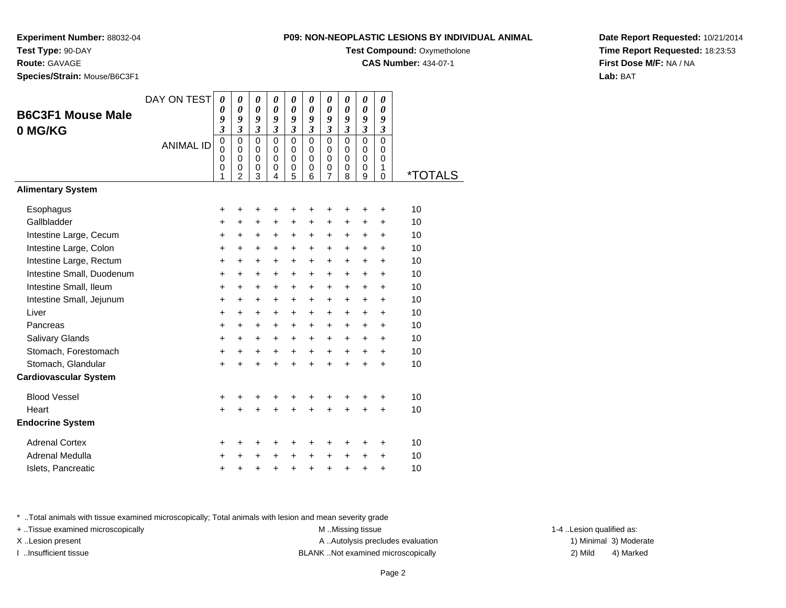**Experiment Number:** 88032-04

**Test Type:** 90-DAY

**Route:** GAVAGE

**Species/Strain:** Mouse/B6C3F1

| 09: NON-NEOPLASTIC LESIONS BY INDIVIDUAL ANIMAL |  |  |  |
|-------------------------------------------------|--|--|--|
|                                                 |  |  |  |

**Test Compound: Oxymetholone** 

**CAS Number:** 434-07-1

**Date Report Requested:** 10/21/2014**Time Report Requested:** 18:23:53**First Dose M/F:** NA / NA**Lab:** BAT

| <b>B6C3F1 Mouse Male</b>     | DAY ON TEST      | 0<br>0<br>9                         | $\boldsymbol{\theta}$<br>$\boldsymbol{\theta}$<br>9  | $\pmb{\theta}$<br>0<br>9            | 0<br>0<br>9                | 0<br>0<br>9                         | 0<br>$\boldsymbol{\theta}$<br>9   | 0<br>0<br>9                         | 0<br>$\boldsymbol{\theta}$<br>9  | $\boldsymbol{\theta}$<br>$\boldsymbol{\theta}$<br>9 | 0<br>0<br>9                              |                       |
|------------------------------|------------------|-------------------------------------|------------------------------------------------------|-------------------------------------|----------------------------|-------------------------------------|-----------------------------------|-------------------------------------|----------------------------------|-----------------------------------------------------|------------------------------------------|-----------------------|
| 0 MG/KG                      |                  | $\boldsymbol{\beta}$<br>$\mathbf 0$ | $\boldsymbol{\beta}$<br>$\mathbf 0$                  | $\boldsymbol{\beta}$<br>$\mathbf 0$ | $\mathfrak{z}$<br>$\Omega$ | $\boldsymbol{\beta}$<br>$\mathbf 0$ | $\mathfrak{z}$<br>$\Omega$        | $\boldsymbol{\beta}$<br>$\mathbf 0$ | $\boldsymbol{\beta}$<br>$\Omega$ | $\boldsymbol{\beta}$<br>$\mathbf 0$                 | $\boldsymbol{\beta}$<br>$\Omega$         |                       |
|                              | <b>ANIMAL ID</b> | $\Omega$<br>0<br>$\mathbf 0$<br>1   | $\Omega$<br>$\mathbf 0$<br>$\,0\,$<br>$\overline{2}$ | $\mathbf 0$<br>0<br>0<br>3          | $\Omega$<br>0<br>0<br>4    | 0<br>0<br>0<br>5                    | $\Omega$<br>$\mathbf 0$<br>0<br>6 | 0<br>0<br>0<br>7                    | $\Omega$<br>0<br>0<br>8          | 0<br>0<br>0<br>9                                    | $\Omega$<br>$\mathbf 0$<br>1<br>$\Omega$ | <i><b>*TOTALS</b></i> |
| <b>Alimentary System</b>     |                  |                                     |                                                      |                                     |                            |                                     |                                   |                                     |                                  |                                                     |                                          |                       |
| Esophagus                    |                  | +                                   | +                                                    | +                                   | +                          | +                                   | +                                 | +                                   | +                                | +                                                   | +                                        | 10                    |
| Gallbladder                  |                  | +                                   | +                                                    | +                                   | +                          | +                                   | +                                 | +                                   | +                                | +                                                   | +                                        | 10                    |
| Intestine Large, Cecum       |                  | $\ddot{}$                           | $\ddot{}$                                            | +                                   | $\ddot{}$                  | +                                   | +                                 | +                                   | +                                | +                                                   | $\ddot{}$                                | 10                    |
| Intestine Large, Colon       |                  | $\ddot{}$                           | +                                                    | +                                   | +                          | +                                   | +                                 | $\ddot{}$                           | +                                | +                                                   | +                                        | 10                    |
| Intestine Large, Rectum      |                  | $\ddot{}$                           | $\ddot{}$                                            | +                                   | $\ddot{}$                  | +                                   | +                                 | +                                   | $\ddot{}$                        | +                                                   | $\ddot{}$                                | 10                    |
| Intestine Small, Duodenum    |                  | $\ddot{}$                           | $\ddot{}$                                            | $\ddot{}$                           | $\ddot{}$                  | $\ddot{}$                           | $\ddot{}$                         | $\ddot{}$                           | $\ddot{}$                        | $\ddot{}$                                           | $\ddot{}$                                | 10                    |
| Intestine Small, Ileum       |                  | +                                   | $\ddot{}$                                            | +                                   | +                          | +                                   | +                                 | +                                   | +                                | +                                                   | $\ddot{}$                                | 10                    |
| Intestine Small, Jejunum     |                  | +                                   | +                                                    | +                                   | +                          | +                                   | +                                 | +                                   | +                                | +                                                   | +                                        | 10                    |
| Liver                        |                  | $\ddot{}$                           | $\ddot{}$                                            | +                                   | $\ddot{}$                  | +                                   | +                                 | +                                   | $\ddot{}$                        | $\ddot{}$                                           | $\ddot{}$                                | 10                    |
| Pancreas                     |                  | $\ddot{}$                           | +                                                    | +                                   | +                          | +                                   | +                                 | +                                   | +                                | +                                                   | +                                        | 10                    |
| Salivary Glands              |                  | $\ddot{}$                           | $\ddot{}$                                            | +                                   | +                          | +                                   | +                                 | +                                   | +                                | +                                                   | $\ddot{}$                                | 10                    |
| Stomach, Forestomach         |                  | $\ddot{}$                           | $\ddot{}$                                            | +                                   | $\ddot{}$                  | +                                   | $\ddot{}$                         | $\ddot{}$                           | $\ddot{}$                        | +                                                   | +                                        | 10                    |
| Stomach, Glandular           |                  | $\ddot{}$                           |                                                      | $\ddot{}$                           | $\ddot{}$                  | $\ddot{}$                           | $\ddot{}$                         | $\ddot{}$                           | $\ddot{}$                        | $\ddot{}$                                           | $\ddot{}$                                | 10                    |
| <b>Cardiovascular System</b> |                  |                                     |                                                      |                                     |                            |                                     |                                   |                                     |                                  |                                                     |                                          |                       |
| <b>Blood Vessel</b>          |                  | +                                   | +                                                    | +                                   | +                          | +                                   | +                                 | +                                   | +                                | +                                                   | +                                        | 10                    |
| Heart                        |                  | $\ddot{}$                           |                                                      | $\ddot{}$                           | $\ddot{}$                  | $\ddot{}$                           | $\ddot{}$                         | $\ddot{}$                           | $\ddot{}$                        | $\ddot{}$                                           | $\ddot{}$                                | 10                    |
| <b>Endocrine System</b>      |                  |                                     |                                                      |                                     |                            |                                     |                                   |                                     |                                  |                                                     |                                          |                       |
| <b>Adrenal Cortex</b>        |                  | +                                   | ٠                                                    | +                                   | +                          | +                                   | +                                 | +                                   | +                                | +                                                   | +                                        | 10                    |
| Adrenal Medulla              |                  | +                                   | +                                                    | +                                   | +                          | +                                   | $\ddot{}$                         | $\ddot{}$                           | $\ddot{}$                        | +                                                   | +                                        | 10                    |
| Islets, Pancreatic           |                  | +                                   | +                                                    | +                                   | +                          | +                                   | $\pmb{+}$                         | +                                   | +                                | +                                                   | $\ddot{}$                                | 10                    |
|                              |                  |                                     |                                                      |                                     |                            |                                     |                                   |                                     |                                  |                                                     |                                          |                       |

\* ..Total animals with tissue examined microscopically; Total animals with lesion and mean severity grade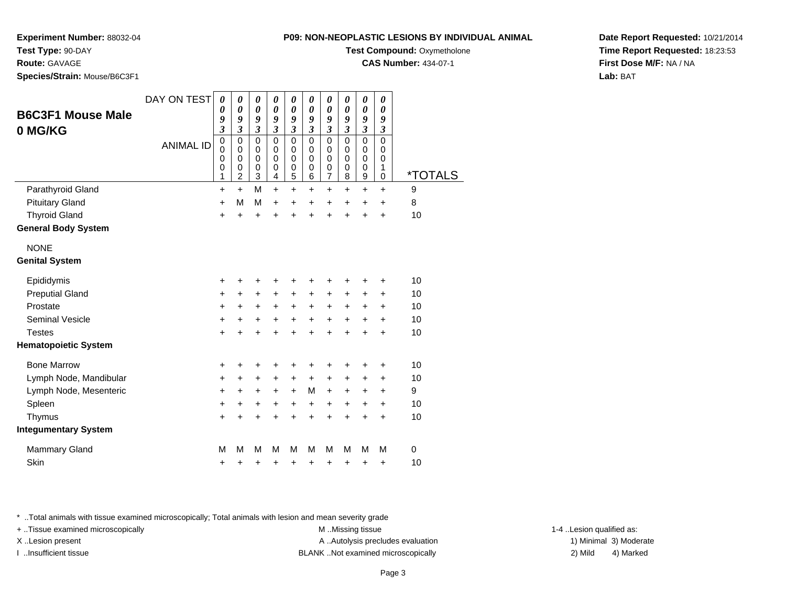**CAS Number:** 434-07-1

**Experiment Number:** 88032-04

**Test Type:** 90-DAY

**Route:** GAVAGE

**Species/Strain:** Mouse/B6C3F1

| <b>B6C3F1 Mouse Male</b><br>0 MG/KG | DAY ON TEST      | 0<br>0<br>9<br>$\overline{\mathbf{3}}$              | $\boldsymbol{\theta}$<br>$\boldsymbol{\theta}$<br>9<br>$\mathfrak{z}$ | $\boldsymbol{\theta}$<br>$\boldsymbol{\theta}$<br>9<br>$\mathfrak{z}$ | 0<br>$\boldsymbol{\theta}$<br>9<br>$\boldsymbol{\mathfrak{z}}$ | 0<br>$\boldsymbol{\theta}$<br>9<br>$\mathfrak{z}$ | 0<br>0<br>9<br>$\overline{\mathbf{3}}$ | 0<br>0<br>9<br>$\overline{\mathbf{3}}$ | 0<br>$\boldsymbol{\theta}$<br>9<br>$\boldsymbol{\mathfrak{z}}$ | 0<br>0<br>9<br>$\mathfrak{z}$   | 0<br>$\boldsymbol{\theta}$<br>9<br>$\boldsymbol{\mathfrak{z}}$ |             |  |
|-------------------------------------|------------------|-----------------------------------------------------|-----------------------------------------------------------------------|-----------------------------------------------------------------------|----------------------------------------------------------------|---------------------------------------------------|----------------------------------------|----------------------------------------|----------------------------------------------------------------|---------------------------------|----------------------------------------------------------------|-------------|--|
|                                     | <b>ANIMAL ID</b> | $\mathbf 0$<br>$\mathbf 0$<br>0<br>$\mathbf 0$<br>1 | $\pmb{0}$<br>0<br>$\mathbf 0$<br>0<br>$\overline{c}$                  | $\mathbf 0$<br>0<br>0<br>$\mathbf 0$<br>3                             | 0<br>0<br>$\mathbf 0$<br>0<br>4                                | 0<br>0<br>0<br>0<br>5                             | 0<br>0<br>0<br>$\mathbf 0$<br>6        | $\mathbf 0$<br>0<br>0<br>0<br>7        | $\mathbf 0$<br>0<br>0<br>0<br>8                                | $\mathbf 0$<br>0<br>0<br>0<br>9 | $\mathbf 0$<br>0<br>0<br>1<br>0                                | *TOTALS     |  |
| Parathyroid Gland                   |                  | +                                                   | $\ddot{}$                                                             | M                                                                     | $\ddot{}$                                                      | +                                                 | +                                      | +                                      | $\ddot{}$                                                      | $\pm$                           | +                                                              | 9           |  |
| <b>Pituitary Gland</b>              |                  | +                                                   | M                                                                     | M                                                                     | $\ddot{}$                                                      | $\ddot{}$                                         | $\ddot{}$                              | $\ddot{}$                              | $\ddot{}$                                                      | $\ddot{}$                       | $\ddot{}$                                                      | 8           |  |
| <b>Thyroid Gland</b>                |                  | ٠                                                   | +                                                                     | $\ddot{}$                                                             | +                                                              | +                                                 | +                                      | +                                      | $\ddot{}$                                                      | +                               | $\ddot{}$                                                      | 10          |  |
| <b>General Body System</b>          |                  |                                                     |                                                                       |                                                                       |                                                                |                                                   |                                        |                                        |                                                                |                                 |                                                                |             |  |
| <b>NONE</b>                         |                  |                                                     |                                                                       |                                                                       |                                                                |                                                   |                                        |                                        |                                                                |                                 |                                                                |             |  |
| <b>Genital System</b>               |                  |                                                     |                                                                       |                                                                       |                                                                |                                                   |                                        |                                        |                                                                |                                 |                                                                |             |  |
| Epididymis                          |                  | ٠                                                   | +                                                                     | ٠                                                                     | +                                                              | +                                                 | +                                      | +                                      | +                                                              | +                               | +                                                              | 10          |  |
| <b>Preputial Gland</b>              |                  | +                                                   | $\ddot{}$                                                             | $\ddot{}$                                                             | $\ddot{}$                                                      | $\ddot{}$                                         | +                                      | $\ddot{}$                              | $\ddot{}$                                                      | $\ddot{}$                       | $\ddot{}$                                                      | 10          |  |
| Prostate                            |                  | +                                                   | +                                                                     | +                                                                     | +                                                              | +                                                 | +                                      | +                                      | +                                                              | +                               | +                                                              | 10          |  |
| <b>Seminal Vesicle</b>              |                  | +                                                   | +                                                                     | $\ddot{}$                                                             | +                                                              | $\ddot{}$                                         | +                                      | $\ddot{}$                              | $\ddot{}$                                                      | $\pm$                           | $\ddot{}$                                                      | 10          |  |
| <b>Testes</b>                       |                  |                                                     |                                                                       |                                                                       | $\ddot{}$                                                      | $\ddot{}$                                         | Ł                                      | $\ddot{}$                              | $\ddot{}$                                                      | $\ddot{}$                       | $\ddot{}$                                                      | 10          |  |
| <b>Hematopoietic System</b>         |                  |                                                     |                                                                       |                                                                       |                                                                |                                                   |                                        |                                        |                                                                |                                 |                                                                |             |  |
| <b>Bone Marrow</b>                  |                  | ٠                                                   | +                                                                     | ÷                                                                     | +                                                              | +                                                 | +                                      | ٠                                      | ٠                                                              | +                               | +                                                              | 10          |  |
| Lymph Node, Mandibular              |                  | +                                                   | $\ddot{}$                                                             | $\ddot{}$                                                             | $\ddot{}$                                                      | $\ddot{}$                                         | +                                      | $\ddot{}$                              | $\ddot{}$                                                      | $\pm$                           | +                                                              | 10          |  |
| Lymph Node, Mesenteric              |                  | +                                                   | $\pm$                                                                 | $\ddot{}$                                                             | $\pm$                                                          | $\ddot{}$                                         | M                                      | $\pm$                                  | $\ddot{}$                                                      | $\pm$                           | $\ddot{}$                                                      | 9           |  |
| Spleen                              |                  | $\ddot{}$                                           | $\ddot{}$                                                             | $\ddot{}$                                                             | $\ddot{}$                                                      | $\ddot{}$                                         | +                                      | $\ddot{}$                              | $\ddot{}$                                                      | $\ddot{}$                       | $\ddot{}$                                                      | 10          |  |
| Thymus                              |                  | +                                                   | $\pm$                                                                 | +                                                                     | +                                                              | $\ddot{}$                                         | $\ddot{}$                              | +                                      | $\ddot{}$                                                      | +                               | +                                                              | 10          |  |
| <b>Integumentary System</b>         |                  |                                                     |                                                                       |                                                                       |                                                                |                                                   |                                        |                                        |                                                                |                                 |                                                                |             |  |
| <b>Mammary Gland</b>                |                  | M                                                   | М                                                                     | М                                                                     | М                                                              | м                                                 | М                                      | м                                      | М                                                              | м                               | М                                                              | $\mathbf 0$ |  |
| Skin                                |                  | +                                                   | +                                                                     | +                                                                     | +                                                              | +                                                 | +                                      | +                                      | +                                                              | +                               | +                                                              | 10          |  |
|                                     |                  |                                                     |                                                                       |                                                                       |                                                                |                                                   |                                        |                                        |                                                                |                                 |                                                                |             |  |

\* ..Total animals with tissue examined microscopically; Total animals with lesion and mean severity grade

+ ..Tissue examined microscopically M ...Missing tissue 1-4 ... M ...Missing tissue

X..Lesion present **A ..Autolysis precludes evaluation** A ..Autolysis precludes evaluation 1) Minimal 3) Moderate I ..Insufficient tissue BLANK ..Not examined microscopically 2) Mild 4) Marked

1-4 ..Lesion qualified as:

**Date Report Requested:** 10/21/2014**Time Report Requested:** 18:23:53**First Dose M/F:** NA / NA**Lab:** BAT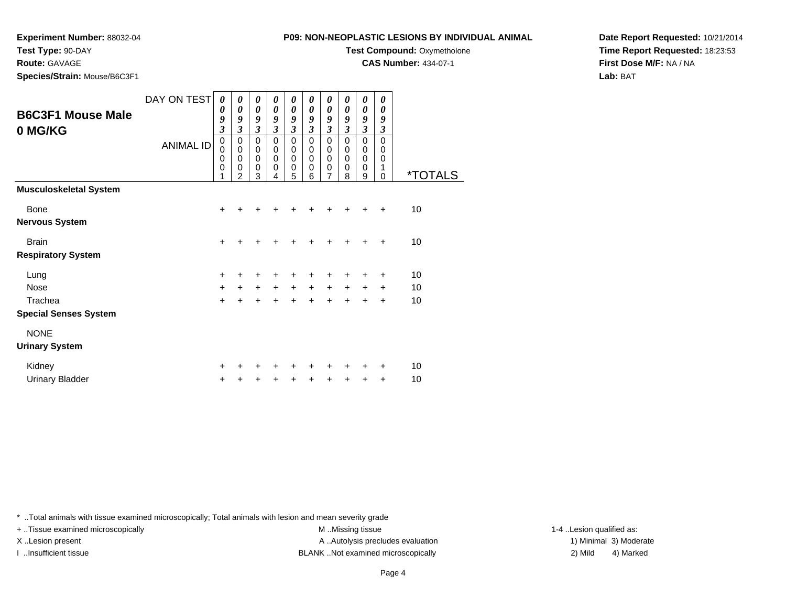**Experiment Number:** 88032-04

**Test Type:** 90-DAY

**Route:** GAVAGE

**Species/Strain:** Mouse/B6C3F1

| PU9: NON-NEOPLASTIC LESIONS BY INDIVIDUAL ANIMAL |
|--------------------------------------------------|
| <b>Test Compound: Oxymetholone</b>               |
| <b>CAS Number: 434-07-1</b>                      |
|                                                  |

**Date Report Requested:** 10/21/2014**Time Report Requested:** 18:23:53**First Dose M/F:** NA / NA**Lab:** BAT

| <b>B6C3F1 Mouse Male</b><br>0 MG/KG     | DAY ON TEST<br><b>ANIMAL ID</b> | 0<br>0<br>9<br>$\overline{\mathbf{3}}$<br>0<br>0<br>0<br>0<br>1 | 0<br>0<br>9<br>3<br>0<br>$\mathbf 0$<br>0<br>0<br>2 | 0<br>$\boldsymbol{\theta}$<br>9<br>$\mathfrak{z}$<br>$\mathbf 0$<br>$\pmb{0}$<br>$\pmb{0}$<br>$\mathbf 0$<br>3 | 0<br>$\boldsymbol{\theta}$<br>9<br>3<br>$\mathbf 0$<br>$\mathbf 0$<br>$\mathbf 0$<br>$\mathbf 0$<br>4 | 0<br>$\boldsymbol{\theta}$<br>9<br>$\mathfrak{z}$<br>$\mathbf 0$<br>$\mathbf 0$<br>$\mathbf 0$<br>$\mathbf 0$<br>5 | 0<br>$\boldsymbol{\theta}$<br>9<br>$\mathfrak{z}$<br>0<br>$\mathbf 0$<br>$\mathbf 0$<br>$\mathbf 0$<br>6 | 0<br>$\boldsymbol{\theta}$<br>9<br>$\mathfrak{z}$<br>$\mathbf 0$<br>$\mathbf 0$<br>$\pmb{0}$<br>$\mathbf 0$<br>7 | 0<br>0<br>9<br>$\mathfrak{z}$<br>$\mathbf 0$<br>$\mathbf 0$<br>$\mathbf 0$<br>$\mathbf 0$<br>8 | 0<br>0<br>9<br>$\boldsymbol{\beta}$<br>$\mathbf 0$<br>$\mathbf 0$<br>$\mathbf 0$<br>$\mathbf 0$<br>9 | 0<br>0<br>9<br>$\boldsymbol{\beta}$<br>$\Omega$<br>$\mathbf 0$<br>$\mathbf 0$<br>1<br>$\mathbf 0$ | <i><b>*TOTALS</b></i> |
|-----------------------------------------|---------------------------------|-----------------------------------------------------------------|-----------------------------------------------------|----------------------------------------------------------------------------------------------------------------|-------------------------------------------------------------------------------------------------------|--------------------------------------------------------------------------------------------------------------------|----------------------------------------------------------------------------------------------------------|------------------------------------------------------------------------------------------------------------------|------------------------------------------------------------------------------------------------|------------------------------------------------------------------------------------------------------|---------------------------------------------------------------------------------------------------|-----------------------|
| <b>Musculoskeletal System</b>           |                                 |                                                                 |                                                     |                                                                                                                |                                                                                                       |                                                                                                                    |                                                                                                          |                                                                                                                  |                                                                                                |                                                                                                      |                                                                                                   |                       |
| Bone                                    |                                 | +                                                               | +                                                   | +                                                                                                              |                                                                                                       | ٠                                                                                                                  | +                                                                                                        | ٠                                                                                                                |                                                                                                | ٠                                                                                                    | $\ddot{}$                                                                                         | 10                    |
| <b>Nervous System</b>                   |                                 |                                                                 |                                                     |                                                                                                                |                                                                                                       |                                                                                                                    |                                                                                                          |                                                                                                                  |                                                                                                |                                                                                                      |                                                                                                   |                       |
| <b>Brain</b>                            |                                 | +                                                               | +                                                   | $\ddot{}$                                                                                                      | +                                                                                                     | +                                                                                                                  |                                                                                                          | +                                                                                                                |                                                                                                | ٠                                                                                                    | $\ddot{}$                                                                                         | 10                    |
| <b>Respiratory System</b>               |                                 |                                                                 |                                                     |                                                                                                                |                                                                                                       |                                                                                                                    |                                                                                                          |                                                                                                                  |                                                                                                |                                                                                                      |                                                                                                   |                       |
| Lung                                    |                                 | +                                                               | +                                                   | +                                                                                                              | +                                                                                                     | +                                                                                                                  | +                                                                                                        | +                                                                                                                | +                                                                                              | +                                                                                                    | +                                                                                                 | 10                    |
| Nose                                    |                                 | +                                                               | $+$                                                 | $+$                                                                                                            | $+$                                                                                                   | $\ddot{}$                                                                                                          | $+$                                                                                                      | $\ddot{}$                                                                                                        | $\ddot{}$                                                                                      | $\ddot{}$                                                                                            | $\ddot{}$                                                                                         | 10                    |
| Trachea<br><b>Special Senses System</b> |                                 | $\ddot{}$                                                       | $\ddot{}$                                           | $\ddot{}$                                                                                                      | $\ddot{+}$                                                                                            | $\ddot{}$                                                                                                          | $\ddot{}$                                                                                                | $\ddot{}$                                                                                                        | $\ddot{}$                                                                                      | +                                                                                                    | $\ddot{}$                                                                                         | 10                    |
| <b>NONE</b>                             |                                 |                                                                 |                                                     |                                                                                                                |                                                                                                       |                                                                                                                    |                                                                                                          |                                                                                                                  |                                                                                                |                                                                                                      |                                                                                                   |                       |
| <b>Urinary System</b>                   |                                 |                                                                 |                                                     |                                                                                                                |                                                                                                       |                                                                                                                    |                                                                                                          |                                                                                                                  |                                                                                                |                                                                                                      |                                                                                                   |                       |
| Kidney                                  |                                 | +                                                               |                                                     | ٠                                                                                                              |                                                                                                       | ٠                                                                                                                  |                                                                                                          | ٠                                                                                                                |                                                                                                |                                                                                                      | ÷                                                                                                 | 10                    |
| <b>Urinary Bladder</b>                  |                                 | +                                                               |                                                     |                                                                                                                | +                                                                                                     | +                                                                                                                  | +                                                                                                        | ٠                                                                                                                |                                                                                                | ٠                                                                                                    | $\ddot{}$                                                                                         | 10                    |

\* ..Total animals with tissue examined microscopically; Total animals with lesion and mean severity grade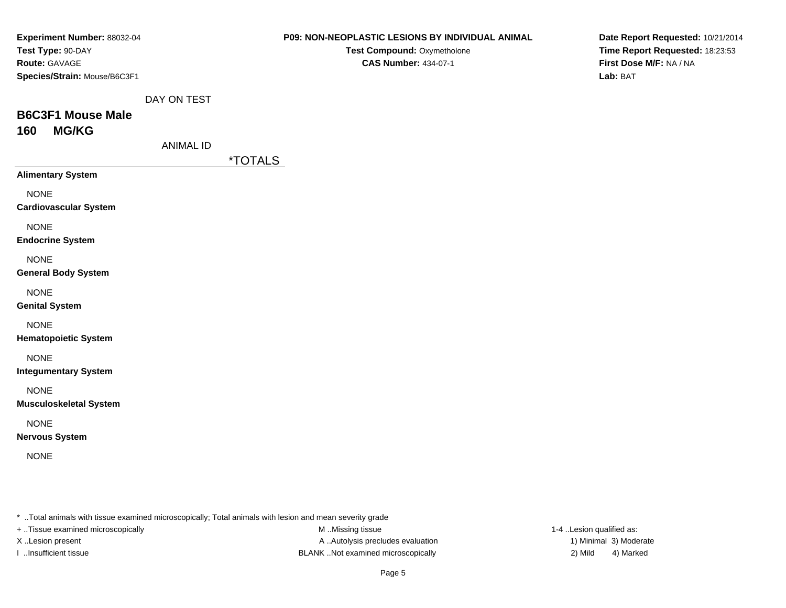|                  | Test Compound: Oxymetholone | Time Report Requested: 18:23:53                                                                                                  |  |  |
|------------------|-----------------------------|----------------------------------------------------------------------------------------------------------------------------------|--|--|
|                  |                             |                                                                                                                                  |  |  |
|                  | <b>CAS Number: 434-07-1</b> | First Dose M/F: NA / NA                                                                                                          |  |  |
|                  |                             | Lab: BAT                                                                                                                         |  |  |
| DAY ON TEST      |                             |                                                                                                                                  |  |  |
|                  |                             |                                                                                                                                  |  |  |
|                  |                             |                                                                                                                                  |  |  |
| <b>ANIMAL ID</b> |                             |                                                                                                                                  |  |  |
|                  |                             |                                                                                                                                  |  |  |
|                  |                             |                                                                                                                                  |  |  |
|                  |                             |                                                                                                                                  |  |  |
|                  |                             |                                                                                                                                  |  |  |
|                  |                             |                                                                                                                                  |  |  |
|                  |                             |                                                                                                                                  |  |  |
|                  |                             |                                                                                                                                  |  |  |
|                  |                             |                                                                                                                                  |  |  |
|                  |                             |                                                                                                                                  |  |  |
|                  |                             |                                                                                                                                  |  |  |
|                  |                             |                                                                                                                                  |  |  |
|                  |                             |                                                                                                                                  |  |  |
|                  |                             |                                                                                                                                  |  |  |
|                  |                             |                                                                                                                                  |  |  |
|                  |                             |                                                                                                                                  |  |  |
|                  |                             |                                                                                                                                  |  |  |
|                  |                             |                                                                                                                                  |  |  |
|                  |                             |                                                                                                                                  |  |  |
|                  |                             |                                                                                                                                  |  |  |
|                  |                             |                                                                                                                                  |  |  |
|                  |                             |                                                                                                                                  |  |  |
|                  |                             |                                                                                                                                  |  |  |
|                  |                             | <i><b>*TOTALS</b></i><br>* Total animals with tissue examined microscopically; Total animals with lesion and mean severity grade |  |  |

M ..Missing tissue + ..Tissue examined microscopically **M** ..Missing tissue M ..Missing tissue 1-4 ..Lesion qualified as: X ..Lesion present A .. Autolysis precludes evaluation A .. Autolysis precludes evaluation I ..Insufficient tissue 2) Mild 3 and SLANK ..Not examined microscopically 1.1nsufficient tissue 2) Mild

1) Minimal 3) Moderate 4) Marked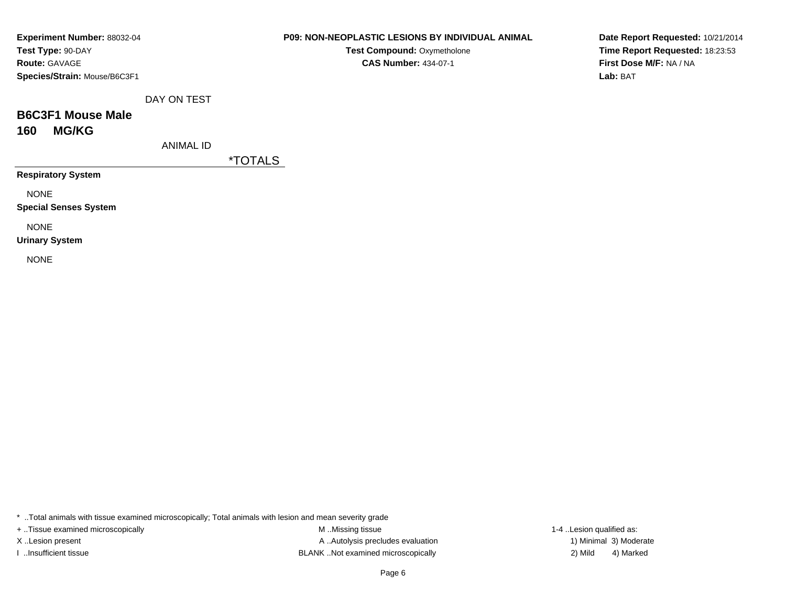| Experiment Number: 88032-04  |
|------------------------------|
| Test Type: 90-DAY            |
| <b>Route: GAVAGE</b>         |
| Species/Strain: Mouse/B6C3F1 |

**Test Compound: Oxymetholone CAS Number:** 434-07-1

**Date Report Requested:** 10/21/2014**Time Report Requested:** 18:23:53**First Dose M/F:** NA / NA**Lab:** BAT

DAY ON TEST

# **B6C3F1 Mouse Male160 MG/KG**

ANIMAL ID

\*TOTALS

**Respiratory System**

NONE

**Special Senses System**

NONE

**Urinary System**

NONE

\* ..Total animals with tissue examined microscopically; Total animals with lesion and mean severity grade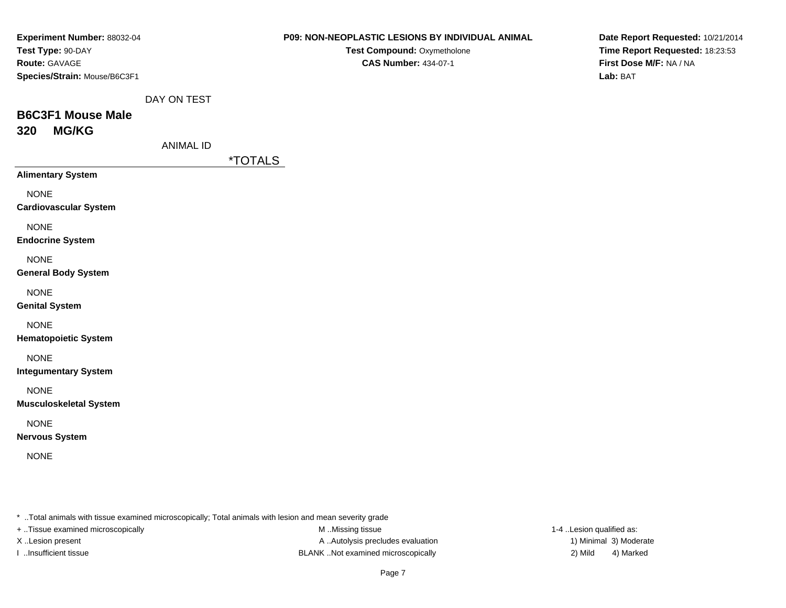| <b>Experiment Number: 88032-04</b><br>Test Type: 90-DAY<br>Route: GAVAGE<br>Species/Strain: Mouse/B6C3F1 |                  | <b>P09: NON-NEOPLASTIC LESIONS BY INDIVIDUAL ANIMAL</b><br>Test Compound: Oxymetholone<br><b>CAS Number: 434-07-1</b> | Date Report Requested: 10/21/2014<br>Time Report Requested: 18:23:53<br>First Dose M/F: NA / NA<br>Lab: BAT |
|----------------------------------------------------------------------------------------------------------|------------------|-----------------------------------------------------------------------------------------------------------------------|-------------------------------------------------------------------------------------------------------------|
|                                                                                                          | DAY ON TEST      |                                                                                                                       |                                                                                                             |
| <b>B6C3F1 Mouse Male</b>                                                                                 |                  |                                                                                                                       |                                                                                                             |
| <b>MG/KG</b><br>320                                                                                      |                  |                                                                                                                       |                                                                                                             |
|                                                                                                          | <b>ANIMAL ID</b> |                                                                                                                       |                                                                                                             |
|                                                                                                          |                  | <i><b>*TOTALS</b></i>                                                                                                 |                                                                                                             |
| <b>Alimentary System</b>                                                                                 |                  |                                                                                                                       |                                                                                                             |
| <b>NONE</b><br><b>Cardiovascular System</b>                                                              |                  |                                                                                                                       |                                                                                                             |
| <b>NONE</b><br><b>Endocrine System</b>                                                                   |                  |                                                                                                                       |                                                                                                             |
| <b>NONE</b><br><b>General Body System</b>                                                                |                  |                                                                                                                       |                                                                                                             |
| <b>NONE</b><br><b>Genital System</b>                                                                     |                  |                                                                                                                       |                                                                                                             |
| <b>NONE</b><br><b>Hematopoietic System</b>                                                               |                  |                                                                                                                       |                                                                                                             |
| <b>NONE</b><br><b>Integumentary System</b>                                                               |                  |                                                                                                                       |                                                                                                             |
| <b>NONE</b><br><b>Musculoskeletal System</b>                                                             |                  |                                                                                                                       |                                                                                                             |
| <b>NONE</b><br><b>Nervous System</b>                                                                     |                  |                                                                                                                       |                                                                                                             |
| <b>NONE</b>                                                                                              |                  |                                                                                                                       |                                                                                                             |
|                                                                                                          |                  |                                                                                                                       |                                                                                                             |
|                                                                                                          |                  | * Total animals with tissue examined microscopically; Total animals with lesion and mean severity grade               |                                                                                                             |
| + Tissue examined microscopically                                                                        |                  | M Missing tissue                                                                                                      | 1-4 Lesion qualified as:                                                                                    |

M ..Missing tissue X ..Lesion present A ... Autolysis precludes evaluation I ..Insufficient tissue 2) Mild 32 Mild

1) Minimal 3) Moderate 4) Marked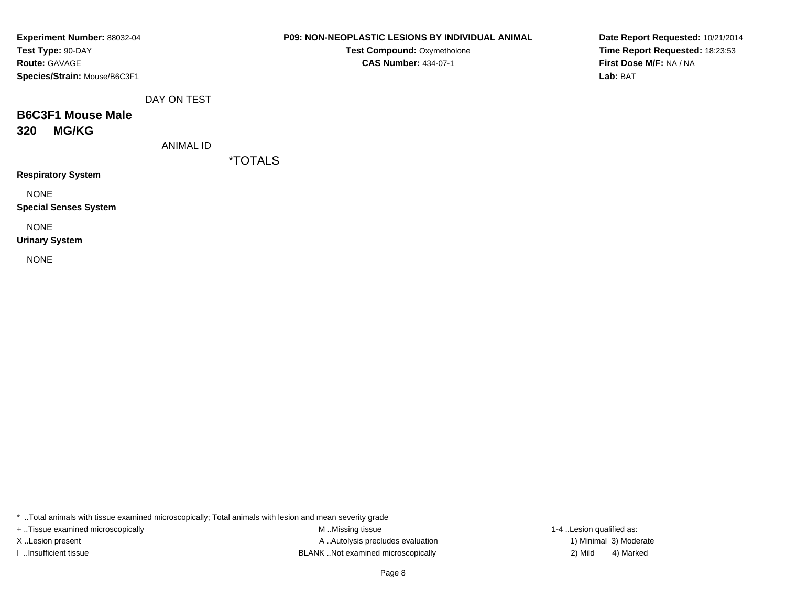| Experiment Number: 88032-04  |
|------------------------------|
| Test Type: 90-DAY            |
| <b>Route: GAVAGE</b>         |
| Species/Strain: Mouse/B6C3F1 |

**Test Compound: Oxymetholone CAS Number:** 434-07-1

**Date Report Requested:** 10/21/2014**Time Report Requested:** 18:23:53**First Dose M/F:** NA / NA**Lab:** BAT

DAY ON TEST

# **B6C3F1 Mouse Male320 MG/KG**

ANIMAL ID

\*TOTALS

**Respiratory System**

NONE

**Special Senses System**

NONE

**Urinary System**

NONE

\* ..Total animals with tissue examined microscopically; Total animals with lesion and mean severity grade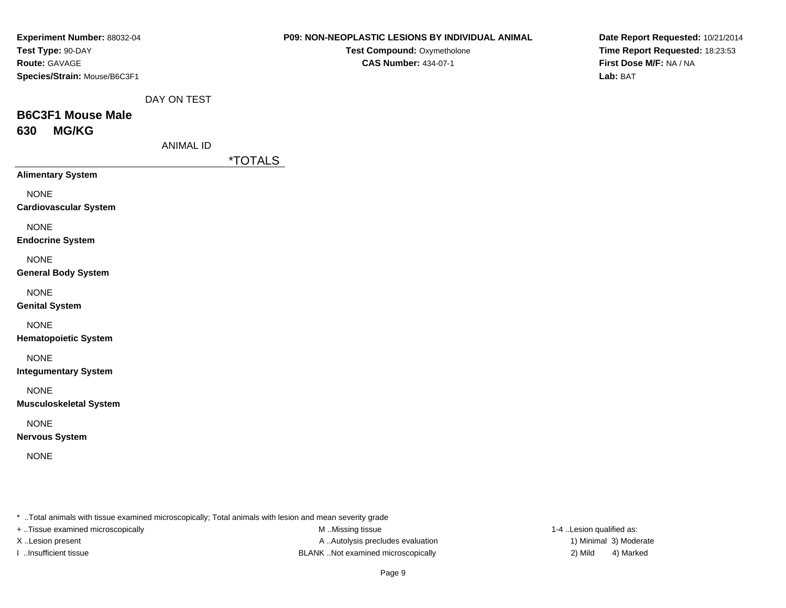| Experiment Number: 88032-04                                                                                                                               |                  |                       | P09: NON-NEOPLASTIC LESIONS BY INDIVIDUAL ANIMAL           | Date Report Requested: 10/21/2014                                                                                     |                                 |
|-----------------------------------------------------------------------------------------------------------------------------------------------------------|------------------|-----------------------|------------------------------------------------------------|-----------------------------------------------------------------------------------------------------------------------|---------------------------------|
| Test Type: 90-DAY<br>Route: GAVAGE<br>Species/Strain: Mouse/B6C3F1                                                                                        |                  |                       | Test Compound: Oxymetholone<br><b>CAS Number: 434-07-1</b> | First Dose M/F: NA / NA<br>Lab: BAT                                                                                   | Time Report Requested: 18:23:53 |
|                                                                                                                                                           | DAY ON TEST      |                       |                                                            |                                                                                                                       |                                 |
| <b>B6C3F1 Mouse Male</b>                                                                                                                                  |                  |                       |                                                            |                                                                                                                       |                                 |
| 630<br><b>MG/KG</b>                                                                                                                                       |                  |                       |                                                            |                                                                                                                       |                                 |
|                                                                                                                                                           | <b>ANIMAL ID</b> |                       |                                                            |                                                                                                                       |                                 |
| <b>Alimentary System</b>                                                                                                                                  |                  | <i><b>*TOTALS</b></i> |                                                            |                                                                                                                       |                                 |
|                                                                                                                                                           |                  |                       |                                                            |                                                                                                                       |                                 |
| <b>NONE</b><br><b>Cardiovascular System</b>                                                                                                               |                  |                       |                                                            |                                                                                                                       |                                 |
| <b>NONE</b>                                                                                                                                               |                  |                       |                                                            |                                                                                                                       |                                 |
| <b>Endocrine System</b>                                                                                                                                   |                  |                       |                                                            |                                                                                                                       |                                 |
| <b>NONE</b>                                                                                                                                               |                  |                       |                                                            |                                                                                                                       |                                 |
| <b>General Body System</b>                                                                                                                                |                  |                       |                                                            |                                                                                                                       |                                 |
| <b>NONE</b>                                                                                                                                               |                  |                       |                                                            |                                                                                                                       |                                 |
| <b>Genital System</b>                                                                                                                                     |                  |                       |                                                            |                                                                                                                       |                                 |
| <b>NONE</b>                                                                                                                                               |                  |                       |                                                            |                                                                                                                       |                                 |
| <b>Hematopoietic System</b>                                                                                                                               |                  |                       |                                                            |                                                                                                                       |                                 |
| <b>NONE</b><br><b>Integumentary System</b>                                                                                                                |                  |                       |                                                            |                                                                                                                       |                                 |
| <b>NONE</b>                                                                                                                                               |                  |                       |                                                            |                                                                                                                       |                                 |
| <b>Musculoskeletal System</b>                                                                                                                             |                  |                       |                                                            |                                                                                                                       |                                 |
| <b>NONE</b>                                                                                                                                               |                  |                       |                                                            |                                                                                                                       |                                 |
| <b>Nervous System</b>                                                                                                                                     |                  |                       |                                                            |                                                                                                                       |                                 |
| <b>NONE</b>                                                                                                                                               |                  |                       |                                                            |                                                                                                                       |                                 |
|                                                                                                                                                           |                  |                       |                                                            |                                                                                                                       |                                 |
|                                                                                                                                                           |                  |                       |                                                            |                                                                                                                       |                                 |
|                                                                                                                                                           |                  |                       |                                                            |                                                                                                                       |                                 |
| * Total animals with tissue examined microscopically; Total animals with lesion and mean severity grade<br>.<br>$\sim$ $\sim$ $\sim$ $\sim$ $\sim$ $\sim$ |                  |                       |                                                            | $\mathbf{a}$ , $\mathbf{a}$ , $\mathbf{a}$ , $\mathbf{a}$ , $\mathbf{a}$ , $\mathbf{a}$ , $\mathbf{a}$ , $\mathbf{a}$ |                                 |

+ ..Tissue examined microscopically

M ..Missing tissue X ..Lesion present **A** ..Autolysis precludes evaluation A ..Autolysis precludes evaluation 1) Minimal 3) Moderate I ..Insufficient tissue 2) Mild 3 and the BLANK .Not examined microscopically and the state of the SLANK ..Not examined microscopically

1-4 ..Lesion qualified as: 4) Marked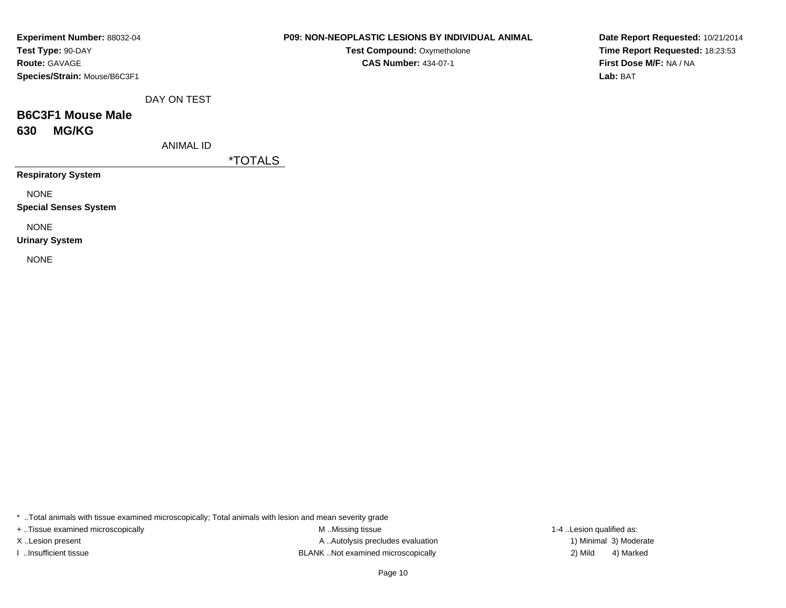| Experiment Number: 88032-04  |
|------------------------------|
| Test Type: 90-DAY            |
| <b>Route: GAVAGE</b>         |
| Species/Strain: Mouse/B6C3F1 |

**Test Compound: Oxymetholone CAS Number:** 434-07-1

**Date Report Requested:** 10/21/2014**Time Report Requested:** 18:23:53**First Dose M/F:** NA / NA**Lab:** BAT

DAY ON TEST

# **B6C3F1 Mouse Male630 MG/KG**

ANIMAL ID

\*TOTALS

**Respiratory System**

NONE

**Special Senses System**

NONE

**Urinary System**

NONE

\* ..Total animals with tissue examined microscopically; Total animals with lesion and mean severity grade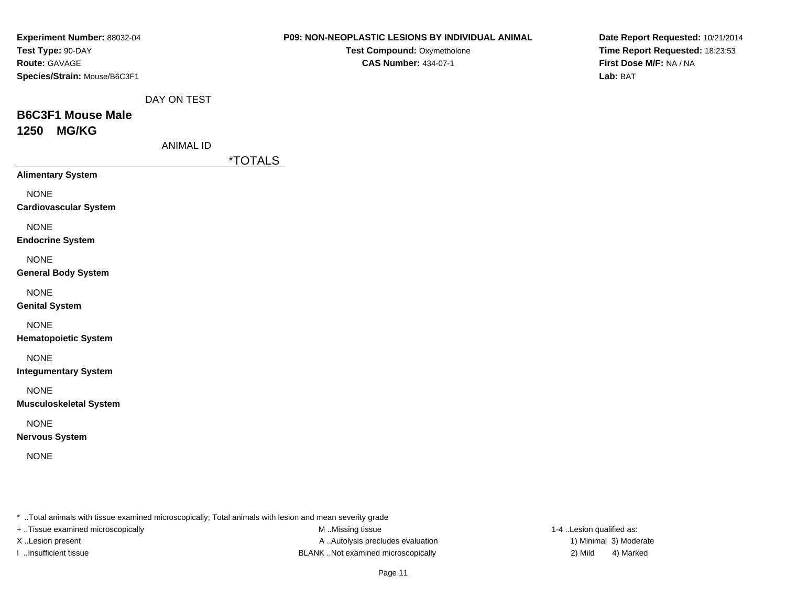| Experiment Number: 88032-04                  |                  | P09: NON-NEOPLASTIC LESIONS BY INDIVIDUAL ANIMAL                                                                            | Date Report Requested: 10/21/2014                          |
|----------------------------------------------|------------------|-----------------------------------------------------------------------------------------------------------------------------|------------------------------------------------------------|
| Test Type: 90-DAY<br>Route: GAVAGE           |                  | Test Compound: Oxymetholone<br><b>CAS Number: 434-07-1</b>                                                                  | Time Report Requested: 18:23:53<br>First Dose M/F: NA / NA |
| Species/Strain: Mouse/B6C3F1                 |                  |                                                                                                                             | Lab: BAT                                                   |
|                                              | DAY ON TEST      |                                                                                                                             |                                                            |
| <b>B6C3F1 Mouse Male</b>                     |                  |                                                                                                                             |                                                            |
| <b>MG/KG</b><br>1250                         | <b>ANIMAL ID</b> |                                                                                                                             |                                                            |
|                                              |                  | <i><b>*TOTALS</b></i>                                                                                                       |                                                            |
| <b>Alimentary System</b>                     |                  |                                                                                                                             |                                                            |
| <b>NONE</b><br><b>Cardiovascular System</b>  |                  |                                                                                                                             |                                                            |
| <b>NONE</b><br><b>Endocrine System</b>       |                  |                                                                                                                             |                                                            |
| <b>NONE</b><br><b>General Body System</b>    |                  |                                                                                                                             |                                                            |
| <b>NONE</b><br><b>Genital System</b>         |                  |                                                                                                                             |                                                            |
| <b>NONE</b><br><b>Hematopoietic System</b>   |                  |                                                                                                                             |                                                            |
| <b>NONE</b><br><b>Integumentary System</b>   |                  |                                                                                                                             |                                                            |
| <b>NONE</b><br><b>Musculoskeletal System</b> |                  |                                                                                                                             |                                                            |
| <b>NONE</b><br><b>Nervous System</b>         |                  |                                                                                                                             |                                                            |
| <b>NONE</b>                                  |                  |                                                                                                                             |                                                            |
|                                              |                  |                                                                                                                             |                                                            |
| + Tissue examined microscopically            |                  | * Total animals with tissue examined microscopically; Total animals with lesion and mean severity grade<br>M Missing tissue | 1-4 Lesion qualified as:                                   |

M ..Missing tissue X ..Lesion present A ...Autolysis precludes evaluation I ..Insufficient tissue 2) Mild ...Insufficient tissue 2) Mild

1) Minimal 3) Moderate 4) Marked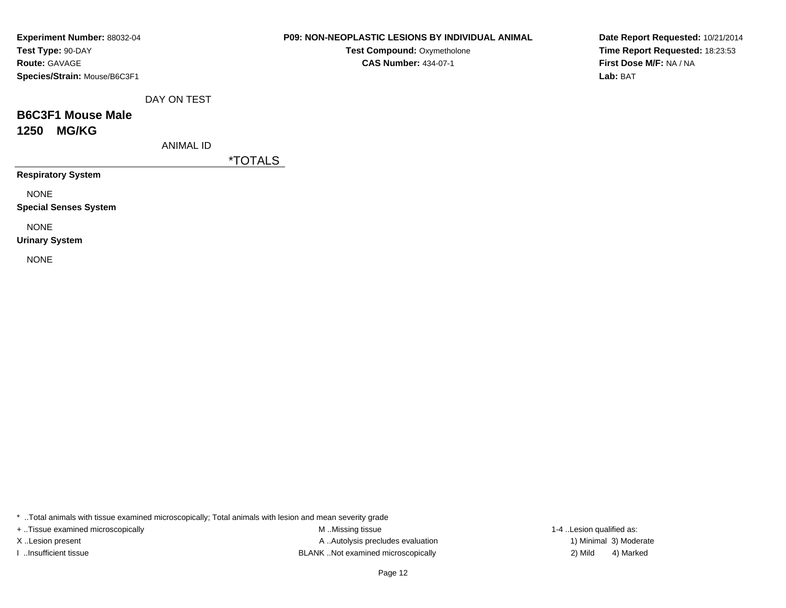| Experiment Number: 88032-04  |
|------------------------------|
| Test Type: 90-DAY            |
| <b>Route: GAVAGE</b>         |
| Species/Strain: Mouse/B6C3F1 |

**Test Compound: Oxymetholone CAS Number:** 434-07-1

**Date Report Requested:** 10/21/2014**Time Report Requested:** 18:23:53**First Dose M/F:** NA / NA**Lab:** BAT

DAY ON TEST

# **B6C3F1 Mouse Male1250 MG/KG**

ANIMAL ID

\*TOTALS

**Respiratory System**

NONE

**Special Senses System**

NONE

**Urinary System**

NONE

\* ..Total animals with tissue examined microscopically; Total animals with lesion and mean severity grade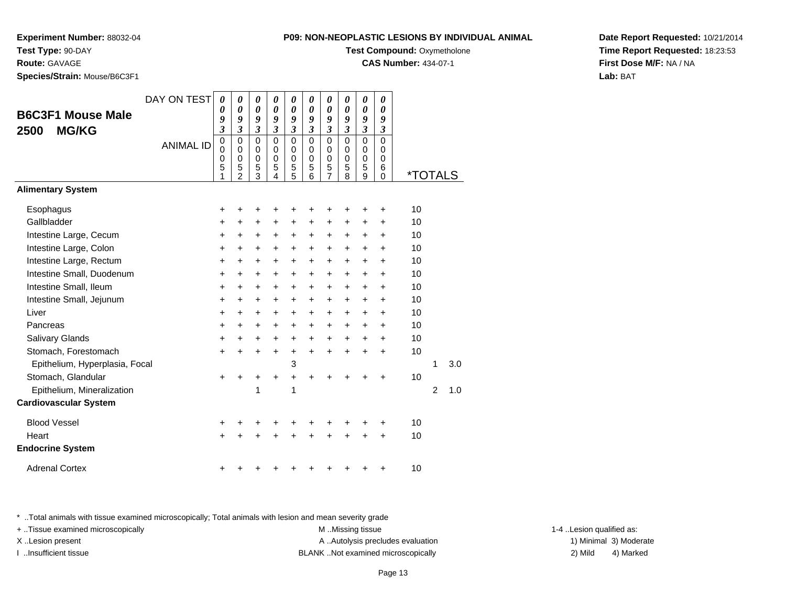**Experiment Number:** 88032-04**Test Type:** 90-DAY

**Route:** GAVAGE

**Species/Strain:** Mouse/B6C3F1

| NON-NEOPLASTIC LESIONS BY INDIVIDUAL ANIM |                     |  |  |  |
|-------------------------------------------|---------------------|--|--|--|
|                                           | $T = 100$ $T = 100$ |  |  |  |

**Test Compound:** Oxymetholone

**CAS Number:** 434-07-1

**Date Report Requested:** 10/21/2014**Time Report Requested:** 18:23:53**First Dose M/F:** NA / NA**Lab:** BAT

|                                | DAY ON TEST      | 0                        | 0                               | 0           | 0                  | 0                               | 0                            | 0                               | 0                            | $\boldsymbol{\theta}$           | 0                                  |                       |                |     |
|--------------------------------|------------------|--------------------------|---------------------------------|-------------|--------------------|---------------------------------|------------------------------|---------------------------------|------------------------------|---------------------------------|------------------------------------|-----------------------|----------------|-----|
| <b>B6C3F1 Mouse Male</b>       |                  | 0<br>9                   | 0<br>9                          | 0<br>9      | 0<br>9             | 0<br>9                          | 0<br>9                       | 0<br>9                          | $\boldsymbol{\theta}$<br>9   | $\boldsymbol{\theta}$<br>9      | 0<br>9                             |                       |                |     |
| <b>MG/KG</b><br>2500           |                  | 3                        | 3                               | 3           | $\mathfrak{z}$     | 3                               | $\boldsymbol{\beta}$         | 3                               | $\boldsymbol{\beta}$         | $\boldsymbol{\beta}$            | 3                                  |                       |                |     |
|                                | <b>ANIMAL ID</b> | $\overline{0}$<br>0<br>0 | $\mathsf 0$<br>0<br>$\mathbf 0$ | 0<br>0<br>0 | 0<br>0<br>$\Omega$ | $\mathbf 0$<br>0<br>$\mathbf 0$ | $\mathbf 0$<br>0<br>$\Omega$ | $\mathbf 0$<br>0<br>$\mathbf 0$ | $\mathbf 0$<br>0<br>$\Omega$ | $\mathbf 0$<br>0<br>$\mathbf 0$ | $\overline{0}$<br>0<br>$\mathbf 0$ |                       |                |     |
|                                |                  | 5<br>1                   | 5<br>$\overline{2}$             | 5<br>3      | 5<br>4             | 5<br>5                          | 5<br>6                       | 5<br>7                          | 5<br>8                       | 5<br>9                          | 6<br>$\mathbf 0$                   | <i><b>*TOTALS</b></i> |                |     |
| <b>Alimentary System</b>       |                  |                          |                                 |             |                    |                                 |                              |                                 |                              |                                 |                                    |                       |                |     |
| Esophagus                      |                  | +                        | +                               | +           | +                  |                                 |                              |                                 | +                            | +                               | +                                  | 10                    |                |     |
| Gallbladder                    |                  | +                        | +                               | +           | +                  | +                               | +                            | +                               | +                            | +                               | +                                  | 10                    |                |     |
| Intestine Large, Cecum         |                  | $\ddot{}$                | $\ddot{}$                       | $\ddot{}$   | $\ddot{}$          | $\ddot{}$                       | $\ddot{}$                    | $\ddot{}$                       | $\ddot{}$                    | $\ddot{}$                       | $\ddot{}$                          | 10                    |                |     |
| Intestine Large, Colon         |                  | $\ddot{}$                | $\ddot{}$                       | +           | $\ddot{}$          | $\ddot{}$                       | $\ddot{}$                    | +                               | $\ddot{}$                    | +                               | +                                  | 10                    |                |     |
| Intestine Large, Rectum        |                  | +                        | +                               | $\pm$       | +                  | +                               | +                            | $\pm$                           | +                            | +                               | $\pm$                              | 10                    |                |     |
| Intestine Small, Duodenum      |                  | $\ddot{}$                | +                               | +           | $\ddot{}$          | $\ddot{}$                       | $\ddot{}$                    | +                               | $\ddot{}$                    | +                               | $\pm$                              | 10                    |                |     |
| Intestine Small, Ileum         |                  | $\ddot{}$                | $\ddot{}$                       | $\ddot{}$   | $\ddot{}$          | $\ddot{}$                       | $\ddot{}$                    | +                               | $\ddot{}$                    | $\ddot{}$                       | $\ddot{}$                          | 10                    |                |     |
| Intestine Small, Jejunum       |                  | $\ddot{}$                | $\ddot{}$                       | $\ddot{}$   | $\ddot{}$          | $\ddot{}$                       | $\ddot{}$                    | +                               | $\ddot{}$                    | $\ddot{}$                       | $\pm$                              | 10                    |                |     |
| Liver                          |                  | $\ddot{}$                | $\ddot{}$                       | +           | +                  | $\ddot{}$                       | $\ddot{}$                    | +                               | $\ddot{}$                    | +                               | $\pm$                              | 10                    |                |     |
| Pancreas                       |                  | $\ddot{}$                | $\ddot{}$                       | +           | $\ddot{}$          | $\ddot{}$                       | $\ddot{}$                    | $\ddot{}$                       | $\ddot{}$                    | +                               | $\ddot{}$                          | 10                    |                |     |
| Salivary Glands                |                  | $\ddot{}$                | $\ddot{}$                       | +           | $\ddot{}$          | $\ddot{}$                       | $\ddot{}$                    | +                               | $\ddot{}$                    | +                               | $\ddot{}$                          | 10                    |                |     |
| Stomach, Forestomach           |                  | $\ddot{}$                | $\ddot{}$                       | $\ddot{}$   | $\ddot{}$          | +                               | $\ddot{}$                    | $\ddot{}$                       | $\ddot{}$                    | $\ddot{}$                       | $\ddot{}$                          | 10                    |                |     |
| Epithelium, Hyperplasia, Focal |                  |                          |                                 |             |                    | 3                               |                              |                                 |                              |                                 |                                    |                       | 1              | 3.0 |
| Stomach, Glandular             |                  | $\ddot{}$                | +                               | +           | +                  | $\ddot{}$                       | +                            | +                               | +                            | +                               | +                                  | 10                    |                |     |
| Epithelium, Mineralization     |                  |                          |                                 | 1           |                    | 1                               |                              |                                 |                              |                                 |                                    |                       | $\overline{2}$ | 1.0 |
| <b>Cardiovascular System</b>   |                  |                          |                                 |             |                    |                                 |                              |                                 |                              |                                 |                                    |                       |                |     |
| <b>Blood Vessel</b>            |                  | +                        |                                 |             |                    |                                 |                              |                                 | +                            | +                               | +                                  | 10                    |                |     |
| Heart                          |                  | $\ddot{}$                |                                 |             |                    |                                 |                              |                                 | +                            | +                               | +                                  | 10                    |                |     |
| <b>Endocrine System</b>        |                  |                          |                                 |             |                    |                                 |                              |                                 |                              |                                 |                                    |                       |                |     |
| <b>Adrenal Cortex</b>          |                  | +                        |                                 |             |                    |                                 |                              |                                 |                              |                                 | +                                  | 10                    |                |     |

\* ..Total animals with tissue examined microscopically; Total animals with lesion and mean severity grade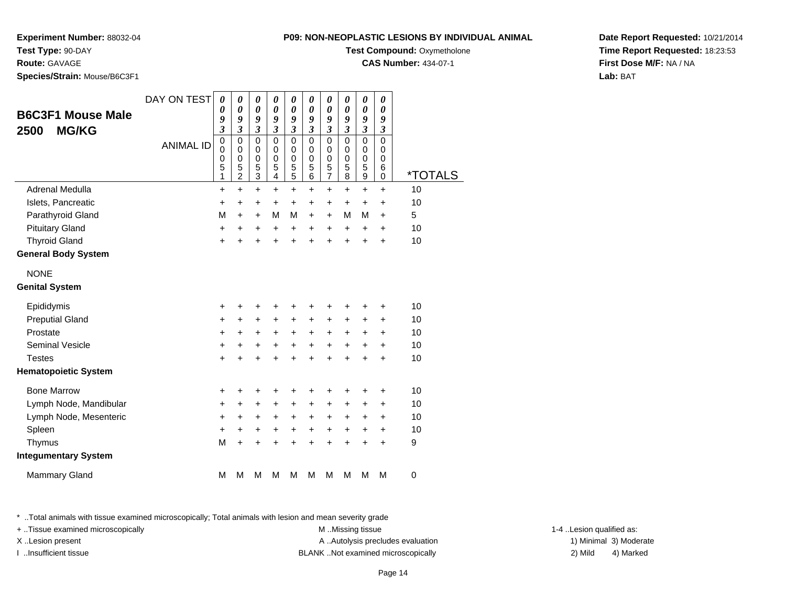**Experiment Number:** 88032-04**Test Type:** 90-DAY

**Route:** GAVAGE

**Species/Strain:** Mouse/B6C3F1

| $\overline{1}$ v. Non-Neul erotiv eeulunu di individure m |
|-----------------------------------------------------------|
| <b>Test Compound: Oxymetholone</b>                        |
| <b>CAS Number: 434-07-1</b>                               |

**Date Report Requested:** 10/21/2014**Time Report Requested:** 18:23:53**First Dose M/F:** NA / NA**Lab:** BAT

| <b>B6C3F1 Mouse Male</b><br><b>MG/KG</b><br>2500 | DAY ON TEST<br><b>ANIMAL ID</b> | 0<br>0<br>9<br>$\overline{\mathbf{3}}$<br>$\mathbf 0$<br>0<br>0<br>5<br>1 | 0<br>$\boldsymbol{\theta}$<br>9<br>3<br>$\mathbf 0$<br>0<br>$\mathbf 0$<br>5<br>$\boldsymbol{2}$ | 0<br>0<br>9<br>$\mathfrak{z}$<br>0<br>0<br>0<br>5<br>3 | 0<br>0<br>9<br>$\mathfrak{z}$<br>$\mathbf 0$<br>0<br>0<br>5<br>4 | $\boldsymbol{\theta}$<br>$\boldsymbol{\theta}$<br>9<br>$\boldsymbol{\beta}$<br>$\mathbf 0$<br>0<br>0<br>5<br>5 | 0<br>$\boldsymbol{\theta}$<br>9<br>$\mathfrak{z}$<br>$\mathbf 0$<br>0<br>$\mathbf 0$<br>5<br>6 | $\boldsymbol{\theta}$<br>$\boldsymbol{\theta}$<br>9<br>$\mathfrak{z}$<br>$\mathbf 0$<br>0<br>0<br>5<br>$\overline{7}$ | 0<br>$\boldsymbol{\theta}$<br>9<br>$\mathfrak{z}$<br>$\mathbf 0$<br>0<br>$\mathbf 0$<br>5<br>8 | $\boldsymbol{\theta}$<br>$\boldsymbol{\theta}$<br>9<br>$\boldsymbol{\mathfrak{z}}$<br>$\mathbf 0$<br>0<br>0<br>5<br>$\boldsymbol{9}$ | 0<br>$\boldsymbol{\theta}$<br>9<br>$\boldsymbol{\beta}$<br>$\mathbf 0$<br>0<br>$\mathbf 0$<br>6<br>$\mathbf 0$ | <i><b>*TOTALS</b></i> |
|--------------------------------------------------|---------------------------------|---------------------------------------------------------------------------|--------------------------------------------------------------------------------------------------|--------------------------------------------------------|------------------------------------------------------------------|----------------------------------------------------------------------------------------------------------------|------------------------------------------------------------------------------------------------|-----------------------------------------------------------------------------------------------------------------------|------------------------------------------------------------------------------------------------|--------------------------------------------------------------------------------------------------------------------------------------|----------------------------------------------------------------------------------------------------------------|-----------------------|
| Adrenal Medulla                                  |                                 | $\ddot{}$                                                                 | $\ddot{}$                                                                                        | $\ddot{}$                                              | $\ddot{}$                                                        | $\ddot{}$                                                                                                      | $\ddot{}$                                                                                      | $\ddot{}$                                                                                                             | $\ddot{}$                                                                                      | $\ddot{}$                                                                                                                            | $\ddot{}$                                                                                                      | 10                    |
| Islets, Pancreatic                               |                                 | +                                                                         | $\ddot{}$                                                                                        | +                                                      | $\ddot{}$                                                        | $\ddot{}$                                                                                                      | $\ddot{}$                                                                                      | $\ddot{}$                                                                                                             | $\ddot{}$                                                                                      | $\ddot{}$                                                                                                                            | $\ddot{}$                                                                                                      | 10                    |
| Parathyroid Gland                                |                                 | M                                                                         | $\ddot{}$                                                                                        | $\ddot{}$                                              | M                                                                | M                                                                                                              | $\ddot{}$                                                                                      | $\ddot{}$                                                                                                             | М                                                                                              | M                                                                                                                                    | $\ddot{}$                                                                                                      | 5                     |
| <b>Pituitary Gland</b>                           |                                 | $\ddot{}$                                                                 | +                                                                                                | +                                                      | $\ddot{}$                                                        | +                                                                                                              | $\ddot{}$                                                                                      | $\ddot{}$                                                                                                             | $\ddot{}$                                                                                      | $\ddot{}$                                                                                                                            | $\ddot{}$                                                                                                      | 10                    |
| <b>Thyroid Gland</b>                             |                                 | $\ddot{}$                                                                 | $\ddot{}$                                                                                        | +                                                      | $\ddot{}$                                                        | +                                                                                                              | $\ddot{}$                                                                                      | $\ddot{}$                                                                                                             | $\ddot{}$                                                                                      | $\ddot{}$                                                                                                                            | $\ddot{}$                                                                                                      | 10                    |
| <b>General Body System</b>                       |                                 |                                                                           |                                                                                                  |                                                        |                                                                  |                                                                                                                |                                                                                                |                                                                                                                       |                                                                                                |                                                                                                                                      |                                                                                                                |                       |
| <b>NONE</b>                                      |                                 |                                                                           |                                                                                                  |                                                        |                                                                  |                                                                                                                |                                                                                                |                                                                                                                       |                                                                                                |                                                                                                                                      |                                                                                                                |                       |
| <b>Genital System</b>                            |                                 |                                                                           |                                                                                                  |                                                        |                                                                  |                                                                                                                |                                                                                                |                                                                                                                       |                                                                                                |                                                                                                                                      |                                                                                                                |                       |
| Epididymis                                       |                                 | +                                                                         | +                                                                                                | +                                                      | +                                                                | +                                                                                                              | +                                                                                              | +                                                                                                                     | +                                                                                              | +                                                                                                                                    | +                                                                                                              | 10                    |
| <b>Preputial Gland</b>                           |                                 | +                                                                         | +                                                                                                | +                                                      | +                                                                | $\ddot{}$                                                                                                      | +                                                                                              | +                                                                                                                     | +                                                                                              | +                                                                                                                                    | $\ddot{}$                                                                                                      | 10                    |
| Prostate                                         |                                 | +                                                                         | +                                                                                                | +                                                      | +                                                                | +                                                                                                              | +                                                                                              | +                                                                                                                     | +                                                                                              | +                                                                                                                                    | +                                                                                                              | 10                    |
| <b>Seminal Vesicle</b>                           |                                 | +                                                                         | $\ddot{}$                                                                                        | $\ddot{}$                                              | $\ddot{}$                                                        | $\ddot{}$                                                                                                      | $\ddot{}$                                                                                      | $\ddot{}$                                                                                                             | $\ddot{}$                                                                                      | +                                                                                                                                    | $\ddot{}$                                                                                                      | 10                    |
| <b>Testes</b>                                    |                                 | $\ddot{}$                                                                 | $\ddot{}$                                                                                        | $\ddot{}$                                              | $\ddot{}$                                                        | $\ddot{}$                                                                                                      | $\ddot{}$                                                                                      | $\ddot{}$                                                                                                             | $\ddot{}$                                                                                      | $\ddot{}$                                                                                                                            | $\ddot{}$                                                                                                      | 10                    |
| <b>Hematopoietic System</b>                      |                                 |                                                                           |                                                                                                  |                                                        |                                                                  |                                                                                                                |                                                                                                |                                                                                                                       |                                                                                                |                                                                                                                                      |                                                                                                                |                       |
| <b>Bone Marrow</b>                               |                                 | +                                                                         | +                                                                                                | +                                                      | +                                                                | +                                                                                                              | +                                                                                              | +                                                                                                                     | ٠                                                                                              | +                                                                                                                                    | +                                                                                                              | 10                    |
| Lymph Node, Mandibular                           |                                 | +                                                                         | +                                                                                                | +                                                      | +                                                                | +                                                                                                              | +                                                                                              | +                                                                                                                     | +                                                                                              | +                                                                                                                                    | +                                                                                                              | 10                    |
| Lymph Node, Mesenteric                           |                                 | +                                                                         | +                                                                                                | +                                                      | +                                                                | +                                                                                                              | +                                                                                              | +                                                                                                                     | +                                                                                              | +                                                                                                                                    | +                                                                                                              | 10                    |
| Spleen                                           |                                 | +                                                                         | +                                                                                                | +                                                      | +                                                                | +                                                                                                              | +                                                                                              | +                                                                                                                     | +                                                                                              | +                                                                                                                                    | $\ddot{}$                                                                                                      | 10                    |
| Thymus                                           |                                 | M                                                                         | +                                                                                                | $\ddot{}$                                              | $\ddot{}$                                                        | $\ddot{}$                                                                                                      | $\ddot{}$                                                                                      | $\ddot{}$                                                                                                             | +                                                                                              | $\ddot{}$                                                                                                                            | $\ddot{}$                                                                                                      | 9                     |
| <b>Integumentary System</b>                      |                                 |                                                                           |                                                                                                  |                                                        |                                                                  |                                                                                                                |                                                                                                |                                                                                                                       |                                                                                                |                                                                                                                                      |                                                                                                                |                       |
| <b>Mammary Gland</b>                             |                                 | M                                                                         | M                                                                                                | M                                                      | M                                                                | M                                                                                                              | M                                                                                              | М                                                                                                                     | M                                                                                              | M                                                                                                                                    | M                                                                                                              | $\mathbf 0$           |

\* ..Total animals with tissue examined microscopically; Total animals with lesion and mean severity grade

+ ..Tissue examined microscopically examined microscopically examined as:  $M$  ..Missing tissue 1-4 ..Lesion qualified as: X..Lesion present **A ..Autolysis precludes evaluation** A ..Autolysis precludes evaluation 1) Minimal 3) Moderate

I ..Insufficient tissue BLANK ..Not examined microscopically 2) Mild 4) Marked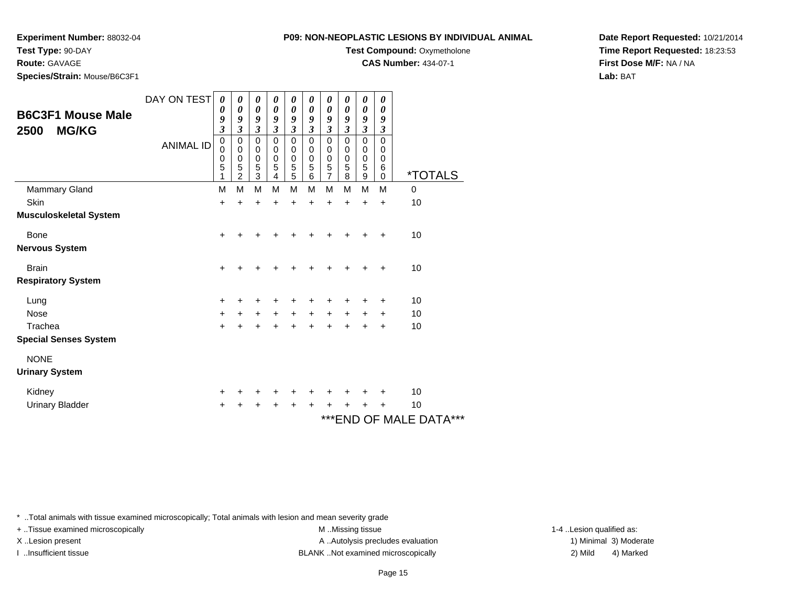**Experiment Number:** 88032-04

**Test Type:** 90-DAY

**Route:** GAVAGE

**Species/Strain:** Mouse/B6C3F1

**Test Compound:** Oxymetholone

**CAS Number:** 434-07-1

**Date Report Requested:** 10/21/2014**Time Report Requested:** 18:23:53**First Dose M/F:** NA / NA**Lab:** BAT

| <b>B6C3F1 Mouse Male</b><br><b>MG/KG</b><br>2500 | DAY ON TEST<br><b>ANIMAL ID</b> | 0<br>0<br>9<br>$\overline{\mathbf{3}}$<br>$\boldsymbol{0}$<br>0<br>0<br>5<br>1 | 0<br>0<br>9<br>$\overline{\mathbf{3}}$<br>$\boldsymbol{0}$<br>$\mathbf 0$<br>$\mathbf 0$<br>5<br>$\overline{c}$ | 0<br>$\boldsymbol{\theta}$<br>9<br>$\mathfrak{z}$<br>$\pmb{0}$<br>$\pmb{0}$<br>$\boldsymbol{0}$<br>5<br>3 | 0<br>0<br>9<br>$\overline{\mathbf{3}}$<br>$\mathbf 0$<br>$\mathbf 0$<br>$\mathbf 0$<br>5<br>$\overline{4}$ | 0<br>$\boldsymbol{\theta}$<br>9<br>$\mathfrak{z}$<br>$\pmb{0}$<br>0<br>$\pmb{0}$<br>5<br>5 | 0<br>0<br>9<br>$\mathfrak{z}$<br>$\mathbf 0$<br>0<br>$\mathbf 0$<br>5<br>6 | 0<br>$\boldsymbol{\theta}$<br>9<br>$\mathfrak{z}$<br>$\mathbf 0$<br>0<br>$\pmb{0}$<br>5<br>$\overline{7}$ | 0<br>0<br>9<br>$\mathfrak{z}$<br>0<br>0<br>$\pmb{0}$<br>5<br>8 | 0<br>$\boldsymbol{\theta}$<br>9<br>$\boldsymbol{\mathfrak{z}}$<br>0<br>0<br>$\pmb{0}$<br>5<br>$\mathsf g$ | $\boldsymbol{\theta}$<br>$\theta$<br>9<br>3<br>0<br>0<br>0<br>6<br>$\mathbf 0$ | <i><b>*TOTALS</b></i> |
|--------------------------------------------------|---------------------------------|--------------------------------------------------------------------------------|-----------------------------------------------------------------------------------------------------------------|-----------------------------------------------------------------------------------------------------------|------------------------------------------------------------------------------------------------------------|--------------------------------------------------------------------------------------------|----------------------------------------------------------------------------|-----------------------------------------------------------------------------------------------------------|----------------------------------------------------------------|-----------------------------------------------------------------------------------------------------------|--------------------------------------------------------------------------------|-----------------------|
| Mammary Gland                                    |                                 | M                                                                              | M                                                                                                               | M                                                                                                         | M                                                                                                          | M                                                                                          | M                                                                          | M                                                                                                         | M                                                              | M                                                                                                         | M                                                                              | 0                     |
| <b>Skin</b>                                      |                                 | $\ddot{}$                                                                      | ÷                                                                                                               | ÷                                                                                                         | ÷                                                                                                          | $\ddot{}$                                                                                  | $\ddot{}$                                                                  | $\ddot{}$                                                                                                 | $\ddot{}$                                                      | $\ddot{}$                                                                                                 | $\ddot{}$                                                                      | 10                    |
| <b>Musculoskeletal System</b>                    |                                 |                                                                                |                                                                                                                 |                                                                                                           |                                                                                                            |                                                                                            |                                                                            |                                                                                                           |                                                                |                                                                                                           |                                                                                |                       |
| Bone                                             |                                 | $\ddot{}$                                                                      | +                                                                                                               | +                                                                                                         | ┿                                                                                                          | ٠                                                                                          | +                                                                          | ÷                                                                                                         | ٠                                                              | $\ddot{}$                                                                                                 | $\ddot{}$                                                                      | 10                    |
| <b>Nervous System</b>                            |                                 |                                                                                |                                                                                                                 |                                                                                                           |                                                                                                            |                                                                                            |                                                                            |                                                                                                           |                                                                |                                                                                                           |                                                                                |                       |
| <b>Brain</b>                                     |                                 | $\ddot{}$                                                                      |                                                                                                                 |                                                                                                           |                                                                                                            |                                                                                            | +                                                                          | +                                                                                                         | +                                                              | $\ddot{}$                                                                                                 | $\ddot{}$                                                                      | 10                    |
| <b>Respiratory System</b>                        |                                 |                                                                                |                                                                                                                 |                                                                                                           |                                                                                                            |                                                                                            |                                                                            |                                                                                                           |                                                                |                                                                                                           |                                                                                |                       |
| Lung                                             |                                 | $\ddot{}$                                                                      | +                                                                                                               | ÷                                                                                                         | +                                                                                                          | ÷                                                                                          | +                                                                          | $\ddot{}$                                                                                                 | +                                                              | $\ddot{}$                                                                                                 | $\ddot{}$                                                                      | 10                    |
| Nose                                             |                                 | $\ddot{}$                                                                      | $\ddot{}$                                                                                                       | $\ddot{}$                                                                                                 | $\ddot{}$                                                                                                  | $\ddot{}$                                                                                  | $\ddot{}$                                                                  | $\ddot{}$                                                                                                 | $\ddot{}$                                                      | $\ddot{}$                                                                                                 | $\ddot{}$                                                                      | 10                    |
| Trachea                                          |                                 | $\ddot{}$                                                                      | $\ddot{}$                                                                                                       | $\ddot{}$                                                                                                 | $\ddot{}$                                                                                                  | $\ddot{}$                                                                                  | $\ddot{}$                                                                  | $\ddot{}$                                                                                                 | $+$                                                            | $\ddot{}$                                                                                                 | +                                                                              | 10                    |
| <b>Special Senses System</b>                     |                                 |                                                                                |                                                                                                                 |                                                                                                           |                                                                                                            |                                                                                            |                                                                            |                                                                                                           |                                                                |                                                                                                           |                                                                                |                       |
| <b>NONE</b>                                      |                                 |                                                                                |                                                                                                                 |                                                                                                           |                                                                                                            |                                                                                            |                                                                            |                                                                                                           |                                                                |                                                                                                           |                                                                                |                       |
| <b>Urinary System</b>                            |                                 |                                                                                |                                                                                                                 |                                                                                                           |                                                                                                            |                                                                                            |                                                                            |                                                                                                           |                                                                |                                                                                                           |                                                                                |                       |
| Kidney                                           |                                 | $\ddot{}$                                                                      |                                                                                                                 | ÷                                                                                                         | +                                                                                                          | ÷                                                                                          | ÷                                                                          | ÷                                                                                                         | ٠                                                              | ÷                                                                                                         | ÷                                                                              | 10                    |
| <b>Urinary Bladder</b>                           |                                 | +                                                                              | +                                                                                                               | +                                                                                                         | +                                                                                                          | +                                                                                          | +                                                                          | $\ddot{}$                                                                                                 | +                                                              | $\ddot{}$                                                                                                 | +                                                                              | 10                    |

# \*\*\*END OF MALE DATA\*\*\*

\* ..Total animals with tissue examined microscopically; Total animals with lesion and mean severity grade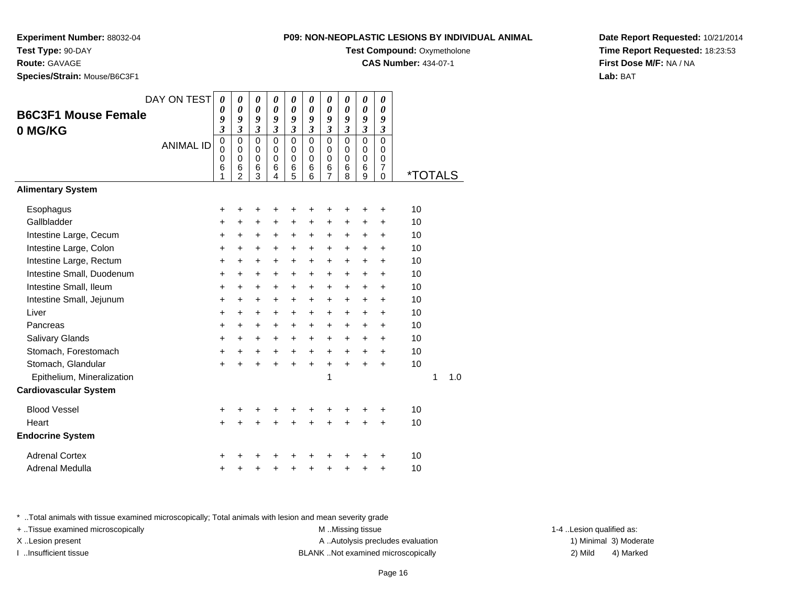**Experiment Number:** 88032-04

**Test Type:** 90-DAY

**Route:** GAVAGE

**Species/Strain:** Mouse/B6C3F1

| 09: NON-NEOPLASTIC LESIONS BY INDIVIDUAL ANIMA |  |  |  |  |  |
|------------------------------------------------|--|--|--|--|--|
|                                                |  |  |  |  |  |

**Test Compound: Oxymetholone** 

**CAS Number:** 434-07-1

**Date Report Requested:** 10/21/2014**Time Report Requested:** 18:23:53**First Dose M/F:** NA / NA**Lab:** BAT

|                              | DAY ON TEST      | 0                               | 0                                                             | 0                                         | 0                                         | 0                                         | $\boldsymbol{\theta}$                               | 0                                         | 0                                         | 0                                             | 0                                                          |                       |   |     |
|------------------------------|------------------|---------------------------------|---------------------------------------------------------------|-------------------------------------------|-------------------------------------------|-------------------------------------------|-----------------------------------------------------|-------------------------------------------|-------------------------------------------|-----------------------------------------------|------------------------------------------------------------|-----------------------|---|-----|
| <b>B6C3F1 Mouse Female</b>   |                  | 0<br>9                          | 0<br>9                                                        | $\boldsymbol{\theta}$<br>9                | 0<br>9                                    | 0<br>9                                    | 0<br>9                                              | 0<br>9                                    | 0<br>9                                    | $\boldsymbol{\theta}$<br>9                    | 0<br>9                                                     |                       |   |     |
| 0 MG/KG                      |                  | $\mathfrak{z}$                  | $\overline{\mathbf{3}}$                                       | 3                                         | $\mathfrak{z}$                            | $\mathfrak{z}$                            | $\mathfrak{z}$                                      | $\mathfrak{z}$                            | $\mathfrak{z}$                            | $\mathfrak{z}$                                | $\boldsymbol{\beta}$                                       |                       |   |     |
|                              | <b>ANIMAL ID</b> | $\mathbf 0$<br>0<br>0<br>6<br>1 | $\mathbf 0$<br>$\Omega$<br>$\mathbf 0$<br>6<br>$\overline{2}$ | $\mathbf 0$<br>0<br>$\mathbf 0$<br>6<br>3 | $\mathbf 0$<br>0<br>$\mathbf 0$<br>6<br>4 | $\mathbf 0$<br>0<br>$\mathbf 0$<br>6<br>5 | $\mathbf 0$<br>$\mathbf 0$<br>$\mathbf 0$<br>6<br>6 | $\mathbf 0$<br>0<br>$\mathbf 0$<br>6<br>7 | $\mathbf 0$<br>0<br>$\mathbf 0$<br>6<br>8 | $\Omega$<br>$\Omega$<br>$\mathbf 0$<br>6<br>9 | $\Omega$<br>0<br>$\mathbf 0$<br>$\overline{7}$<br>$\Omega$ | <i><b>*TOTALS</b></i> |   |     |
| <b>Alimentary System</b>     |                  |                                 |                                                               |                                           |                                           |                                           |                                                     |                                           |                                           |                                               |                                                            |                       |   |     |
| Esophagus                    |                  | $\ddot{}$                       | +                                                             | +                                         | ٠                                         | ٠                                         | +                                                   | +                                         | +                                         | +                                             | $\ddot{}$                                                  | 10                    |   |     |
| Gallbladder                  |                  | $\ddot{}$                       | $\ddot{}$                                                     | $\ddot{}$                                 | $\ddot{}$                                 | $\ddot{}$                                 | $\ddot{}$                                           | $\ddot{}$                                 | $\ddot{}$                                 | $\ddot{}$                                     | +                                                          | 10                    |   |     |
| Intestine Large, Cecum       |                  | $\ddot{}$                       | $\ddot{}$                                                     | $\ddot{}$                                 | $\ddot{}$                                 | $\ddot{}$                                 | $\ddot{}$                                           | +                                         | $\ddot{}$                                 | +                                             | $\ddot{}$                                                  | 10                    |   |     |
| Intestine Large, Colon       |                  | $\ddot{}$                       | $\ddot{}$                                                     | $\ddot{}$                                 | $+$                                       | $\ddot{}$                                 | $\ddot{}$                                           | $\ddot{}$                                 | $\ddot{}$                                 | $\ddot{}$                                     | $\ddot{}$                                                  | 10                    |   |     |
| Intestine Large, Rectum      |                  | $\ddot{}$                       | $\ddot{}$                                                     | $\ddot{}$                                 | $\ddot{}$                                 | $\ddot{}$                                 | $\ddot{}$                                           | +                                         | +                                         | $\ddot{}$                                     | $\ddot{}$                                                  | 10                    |   |     |
| Intestine Small, Duodenum    |                  | $\ddot{}$                       | $\ddot{}$                                                     | $\ddot{}$                                 | $\ddot{}$                                 | $\ddot{}$                                 | $\ddot{}$                                           | $\ddot{}$                                 | +                                         | $\ddot{}$                                     | $\ddot{}$                                                  | 10                    |   |     |
| Intestine Small, Ileum       |                  | $\ddot{}$                       | $\ddot{}$                                                     | $\ddot{}$                                 | $\ddot{}$                                 | $\ddot{}$                                 | $\ddot{}$                                           | $\ddot{}$                                 | $\ddot{}$                                 | $\ddot{}$                                     | $\ddot{}$                                                  | 10                    |   |     |
| Intestine Small, Jejunum     |                  | +                               | $\ddot{}$                                                     | $\ddot{}$                                 | $\ddot{}$                                 | $\ddot{}$                                 | $\ddot{}$                                           | +                                         | $\ddot{}$                                 | $\ddot{}$                                     | +                                                          | 10                    |   |     |
| Liver                        |                  | $\ddot{}$                       | $\ddot{}$                                                     | +                                         | $\ddot{}$                                 | +                                         | $\ddot{}$                                           | $\ddot{}$                                 | $\ddot{}$                                 | $\ddot{}$                                     | $\ddot{}$                                                  | 10                    |   |     |
| Pancreas                     |                  | $\ddot{}$                       | $\ddot{}$                                                     | +                                         | $\ddot{}$                                 | $\ddot{}$                                 | $\ddot{}$                                           | +                                         | +                                         | +                                             | +                                                          | 10                    |   |     |
| Salivary Glands              |                  | $\ddot{}$                       | $\ddot{}$                                                     | $\ddot{}$                                 | $+$                                       | $\ddot{}$                                 | $\ddot{}$                                           | +                                         | $\ddot{}$                                 | $\ddot{}$                                     | $\ddot{}$                                                  | 10                    |   |     |
| Stomach, Forestomach         |                  | $\ddot{}$                       | $\ddot{}$                                                     | +                                         | $+$                                       | $+$                                       | $\ddot{}$                                           | $\ddot{}$                                 | $\ddot{}$                                 | $\ddot{}$                                     | $\ddot{}$                                                  | 10                    |   |     |
| Stomach, Glandular           |                  | $\ddot{}$                       | ÷                                                             | $\ddot{}$                                 | $\ddot{}$                                 | $\ddot{}$                                 | $\ddot{}$                                           | $\ddot{}$                                 | $\ddot{}$                                 | $\ddot{}$                                     | $\ddot{}$                                                  | 10                    |   |     |
| Epithelium, Mineralization   |                  |                                 |                                                               |                                           |                                           |                                           |                                                     | 1                                         |                                           |                                               |                                                            |                       | 1 | 1.0 |
| <b>Cardiovascular System</b> |                  |                                 |                                                               |                                           |                                           |                                           |                                                     |                                           |                                           |                                               |                                                            |                       |   |     |
| <b>Blood Vessel</b>          |                  | $\pm$                           |                                                               |                                           |                                           |                                           | +                                                   | +                                         | +                                         | +                                             | +                                                          | 10                    |   |     |
| Heart                        |                  | $+$                             | +                                                             | +                                         | $\ddot{}$                                 | $\ddot{}$                                 | $\ddot{}$                                           | +                                         | $\ddot{}$                                 | $\ddot{}$                                     | $\ddot{}$                                                  | 10                    |   |     |
| <b>Endocrine System</b>      |                  |                                 |                                                               |                                           |                                           |                                           |                                                     |                                           |                                           |                                               |                                                            |                       |   |     |
| <b>Adrenal Cortex</b>        |                  | +                               |                                                               |                                           |                                           |                                           |                                                     |                                           | ┿                                         |                                               | +                                                          | 10                    |   |     |
| <b>Adrenal Medulla</b>       |                  | +                               |                                                               |                                           |                                           | +                                         | +                                                   | +                                         | +                                         | +                                             | +                                                          | 10                    |   |     |

\* ..Total animals with tissue examined microscopically; Total animals with lesion and mean severity grade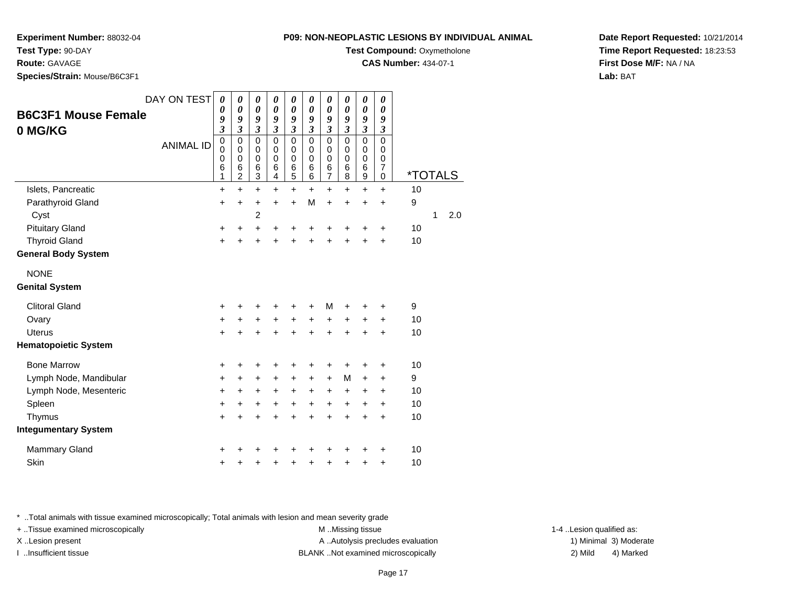**Experiment Number:** 88032-04

**Test Type:** 90-DAY

**Route:** GAVAGE

**Species/Strain:** Mouse/B6C3F1

| <b>B6C3F1 Mouse Female</b><br>0 MG/KG | DAY ON TEST<br><b>ANIMAL ID</b> | 0<br>0<br>9<br>$\overline{\mathbf{3}}$<br>$\pmb{0}$<br>$\mathbf 0$<br>0<br>6<br>1 | 0<br>$\boldsymbol{\theta}$<br>9<br>$\overline{\mathbf{3}}$<br>$\mathbf 0$<br>$\pmb{0}$<br>$\mathbf 0$<br>6<br>$\overline{c}$ | 0<br>0<br>9<br>$\mathfrak{z}$<br>$\mathbf 0$<br>0<br>$\mathbf 0$<br>6<br>3 | 0<br>$\boldsymbol{\theta}$<br>9<br>$\overline{\mathbf{3}}$<br>$\mathbf 0$<br>0<br>$\mathbf 0$<br>6<br>$\overline{\mathbf{4}}$ | 0<br>0<br>9<br>$\mathfrak{z}$<br>$\mathbf 0$<br>0<br>$\mathbf 0$<br>6<br>5 | 0<br>0<br>9<br>$\mathfrak{z}$<br>$\mathbf 0$<br>0<br>$\mathbf 0$<br>6<br>6 | 0<br>0<br>9<br>$\overline{\mathbf{3}}$<br>$\mathbf 0$<br>0<br>$\mathbf 0$<br>6<br>$\overline{7}$ | 0<br>0<br>9<br>$\mathfrak{z}$<br>$\mathbf 0$<br>0<br>$\mathbf 0$<br>6<br>8 | 0<br>$\pmb{\theta}$<br>9<br>$\overline{\mathbf{3}}$<br>$\mathsf 0$<br>0<br>$\pmb{0}$<br>6<br>$\boldsymbol{9}$ | 0<br>$\boldsymbol{\theta}$<br>9<br>$\mathfrak{z}$<br>$\Omega$<br>0<br>$\mathsf 0$<br>$\boldsymbol{7}$<br>$\mathbf 0$ | <i><b>*TOTALS</b></i> |              |     |
|---------------------------------------|---------------------------------|-----------------------------------------------------------------------------------|------------------------------------------------------------------------------------------------------------------------------|----------------------------------------------------------------------------|-------------------------------------------------------------------------------------------------------------------------------|----------------------------------------------------------------------------|----------------------------------------------------------------------------|--------------------------------------------------------------------------------------------------|----------------------------------------------------------------------------|---------------------------------------------------------------------------------------------------------------|----------------------------------------------------------------------------------------------------------------------|-----------------------|--------------|-----|
| Islets, Pancreatic                    |                                 | +                                                                                 | $\ddot{}$                                                                                                                    | $\ddot{}$                                                                  | $\ddot{}$                                                                                                                     | $\ddot{}$                                                                  | $\ddot{}$                                                                  | +                                                                                                | $\ddot{}$                                                                  | +                                                                                                             | $\ddot{}$                                                                                                            | 10                    |              |     |
| Parathyroid Gland                     |                                 | $\pm$                                                                             | $\pm$                                                                                                                        | $\pm$                                                                      | $\pm$                                                                                                                         | $\ddot{}$                                                                  | M                                                                          | $\ddot{}$                                                                                        | +                                                                          | $\pm$                                                                                                         | $\pm$                                                                                                                | 9                     |              |     |
| Cyst                                  |                                 |                                                                                   |                                                                                                                              | $\overline{c}$                                                             |                                                                                                                               |                                                                            |                                                                            |                                                                                                  |                                                                            |                                                                                                               |                                                                                                                      |                       | $\mathbf{1}$ | 2.0 |
| <b>Pituitary Gland</b>                |                                 | +                                                                                 | ٠                                                                                                                            | $\pm$                                                                      | ٠                                                                                                                             | ٠                                                                          | +                                                                          | +                                                                                                |                                                                            | +                                                                                                             | $\pm$                                                                                                                | 10                    |              |     |
| <b>Thyroid Gland</b>                  |                                 | +                                                                                 | $\ddot{}$                                                                                                                    | $\ddot{}$                                                                  | +                                                                                                                             | $\ddot{}$                                                                  |                                                                            | +                                                                                                |                                                                            | $\ddot{}$                                                                                                     | $\ddot{}$                                                                                                            | 10                    |              |     |
| General Body System                   |                                 |                                                                                   |                                                                                                                              |                                                                            |                                                                                                                               |                                                                            |                                                                            |                                                                                                  |                                                                            |                                                                                                               |                                                                                                                      |                       |              |     |
| <b>NONE</b>                           |                                 |                                                                                   |                                                                                                                              |                                                                            |                                                                                                                               |                                                                            |                                                                            |                                                                                                  |                                                                            |                                                                                                               |                                                                                                                      |                       |              |     |
| <b>Genital System</b>                 |                                 |                                                                                   |                                                                                                                              |                                                                            |                                                                                                                               |                                                                            |                                                                            |                                                                                                  |                                                                            |                                                                                                               |                                                                                                                      |                       |              |     |
| <b>Clitoral Gland</b>                 |                                 | +                                                                                 |                                                                                                                              | +                                                                          | +                                                                                                                             | +                                                                          | +                                                                          | M                                                                                                |                                                                            | +                                                                                                             | +                                                                                                                    | 9                     |              |     |
| Ovary                                 |                                 | +                                                                                 | +                                                                                                                            | +                                                                          | +                                                                                                                             | $\ddot{}$                                                                  | $\ddot{}$                                                                  | +                                                                                                | +                                                                          | +                                                                                                             | +                                                                                                                    | 10                    |              |     |
| <b>Uterus</b>                         |                                 | $\ddot{}$                                                                         |                                                                                                                              |                                                                            |                                                                                                                               | +                                                                          |                                                                            | $\ddot{}$                                                                                        |                                                                            | +                                                                                                             | $\ddot{}$                                                                                                            | 10                    |              |     |
| <b>Hematopoietic System</b>           |                                 |                                                                                   |                                                                                                                              |                                                                            |                                                                                                                               |                                                                            |                                                                            |                                                                                                  |                                                                            |                                                                                                               |                                                                                                                      |                       |              |     |
| <b>Bone Marrow</b>                    |                                 | +                                                                                 | +                                                                                                                            | +                                                                          | +                                                                                                                             | +                                                                          | +                                                                          | +                                                                                                | +                                                                          | +                                                                                                             | +                                                                                                                    | 10                    |              |     |
| Lymph Node, Mandibular                |                                 | +                                                                                 | +                                                                                                                            | +                                                                          | +                                                                                                                             | +                                                                          | $\ddot{}$                                                                  | $\ddot{}$                                                                                        | M                                                                          | $\ddot{}$                                                                                                     | +                                                                                                                    | 9                     |              |     |
| Lymph Node, Mesenteric                |                                 | +                                                                                 | +                                                                                                                            | +                                                                          | +                                                                                                                             | $\ddot{}$                                                                  | +                                                                          | +                                                                                                | +                                                                          | +                                                                                                             | +                                                                                                                    | 10                    |              |     |
| Spleen                                |                                 | $\ddot{}$                                                                         | +                                                                                                                            | +                                                                          | $\ddot{}$                                                                                                                     | $\ddot{}$                                                                  | $\ddot{}$                                                                  | $\ddot{}$                                                                                        | $+$                                                                        | $\ddot{}$                                                                                                     | $\ddot{}$                                                                                                            | 10                    |              |     |
| Thymus                                |                                 | $\ddot{}$                                                                         | $\ddot{}$                                                                                                                    | $\ddot{}$                                                                  | $\ddot{}$                                                                                                                     | $\ddot{}$                                                                  | $\ddot{}$                                                                  | $\ddot{}$                                                                                        | $\ddot{}$                                                                  | $\ddot{}$                                                                                                     | $\ddot{}$                                                                                                            | 10                    |              |     |
| <b>Integumentary System</b>           |                                 |                                                                                   |                                                                                                                              |                                                                            |                                                                                                                               |                                                                            |                                                                            |                                                                                                  |                                                                            |                                                                                                               |                                                                                                                      |                       |              |     |
| <b>Mammary Gland</b>                  |                                 | +                                                                                 |                                                                                                                              |                                                                            |                                                                                                                               |                                                                            |                                                                            |                                                                                                  |                                                                            |                                                                                                               | +                                                                                                                    | 10                    |              |     |
| Skin                                  |                                 | +                                                                                 |                                                                                                                              | +                                                                          |                                                                                                                               | +                                                                          | +                                                                          | +                                                                                                | +                                                                          | +                                                                                                             | +                                                                                                                    | 10                    |              |     |
|                                       |                                 |                                                                                   |                                                                                                                              |                                                                            |                                                                                                                               |                                                                            |                                                                            |                                                                                                  |                                                                            |                                                                                                               |                                                                                                                      |                       |              |     |

\* ..Total animals with tissue examined microscopically; Total animals with lesion and mean severity grade

+ ..Tissue examined microscopically examined microscopically examined as:  $M$  ..Missing tissue 1-4 ..Lesion qualified as: X..Lesion present **A ..Autolysis precludes evaluation** A ..Autolysis precludes evaluation 1) Minimal 3) Moderate I ..Insufficient tissue BLANK ..Not examined microscopically 2) Mild 4) Marked

**Date Report Requested:** 10/21/2014**Time Report Requested:** 18:23:53**First Dose M/F:** NA / NA**Lab:** BAT

### **P09: NON-NEOPLASTIC LESIONS BY INDIVIDUAL ANIMAL**

**Test Compound: Oxymetholone** 

**CAS Number:** 434-07-1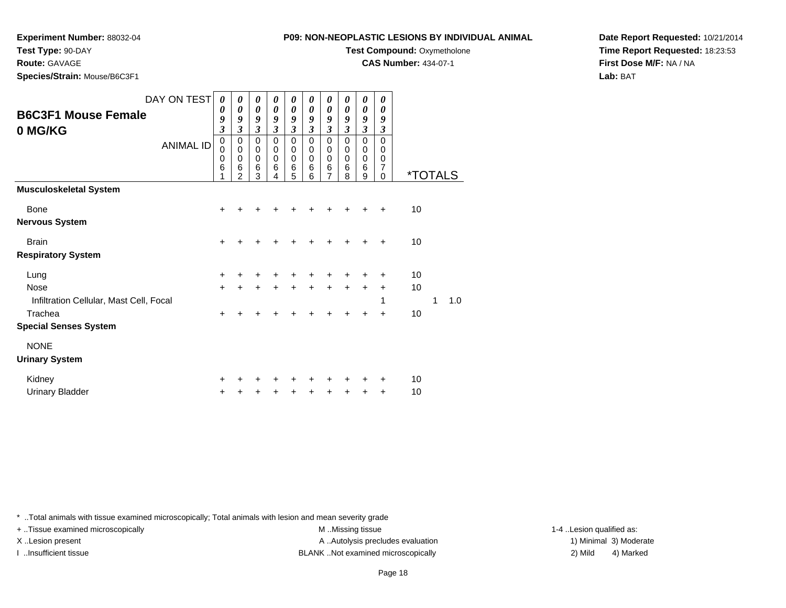**Experiment Number:** 88032-04

**Test Type:** 90-DAY

**Route:** GAVAGE

**Species/Strain:** Mouse/B6C3F1

| 9: NON-NEOPLASTIC LESIONS BY INDIVIDUAL ANIMAL |  |
|------------------------------------------------|--|
|                                                |  |

**Test Compound: Oxymetholone** 

**CAS Number:** 434-07-1

**Date Report Requested:** 10/21/2014**Time Report Requested:** 18:23:53**First Dose M/F:** NA / NA**Lab:** BAT

| DAY ON TEST<br>0<br>0<br>0<br>0<br>0<br>0<br>0<br>$\boldsymbol{\theta}$<br>$\boldsymbol{\theta}$<br>$\boldsymbol{\theta}$<br>$\boldsymbol{\theta}$<br>$\boldsymbol{\theta}$<br>0<br>0<br>0<br>$\boldsymbol{\theta}$<br>0<br>0<br>0<br>0<br><b>B6C3F1 Mouse Female</b><br>9<br>9<br>9<br>9<br>9<br>9<br>9<br>9<br>9<br>9<br>$\mathfrak{z}$<br>$\mathfrak{z}$<br>$\overline{\mathbf{3}}$<br>$\mathfrak{z}$<br>3<br>$\mathfrak{z}$<br>3<br>3<br>$\mathfrak{z}$<br>3<br>0 MG/KG<br>$\pmb{0}$<br>$\pmb{0}$<br>$\mathbf 0$<br>$\mathbf 0$<br>$\pmb{0}$<br>$\mathbf 0$<br>$\mathbf 0$<br>$\mathbf 0$<br>0<br>0<br><b>ANIMAL ID</b><br>$\pmb{0}$<br>$\mathbf 0$<br>$\mathbf 0$<br>$\mathbf 0$<br>$\mathbf 0$<br>$\mathbf 0$<br>$\mathbf 0$<br>0<br>$\mathbf 0$<br>0<br>$\mathbf 0$<br>$\mathbf 0$<br>$\pmb{0}$<br>$\mathbf 0$<br>$\mathbf 0$<br>$\pmb{0}$<br>0<br>$\mathbf 0$<br>$\mathbf 0$<br>0<br>$\,6$<br>6<br>$\overline{7}$<br>$6\phantom{1}6$<br>$\,6$<br>$\,6$<br>6<br>6<br>6<br>6<br>8<br>$\mathfrak{p}$<br>3<br>5<br>6<br>7<br>9<br>$\mathbf 0$<br>4 | <i><b>*TOTALS</b></i> |  |
|--------------------------------------------------------------------------------------------------------------------------------------------------------------------------------------------------------------------------------------------------------------------------------------------------------------------------------------------------------------------------------------------------------------------------------------------------------------------------------------------------------------------------------------------------------------------------------------------------------------------------------------------------------------------------------------------------------------------------------------------------------------------------------------------------------------------------------------------------------------------------------------------------------------------------------------------------------------------------------------------------------------------------------------------------------|-----------------------|--|
| <b>Musculoskeletal System</b>                                                                                                                                                                                                                                                                                                                                                                                                                                                                                                                                                                                                                                                                                                                                                                                                                                                                                                                                                                                                                          |                       |  |
| <b>Bone</b><br>$\ddot{}$<br>+                                                                                                                                                                                                                                                                                                                                                                                                                                                                                                                                                                                                                                                                                                                                                                                                                                                                                                                                                                                                                          | 10                    |  |
| Nervous System                                                                                                                                                                                                                                                                                                                                                                                                                                                                                                                                                                                                                                                                                                                                                                                                                                                                                                                                                                                                                                         |                       |  |
| <b>Brain</b><br>$\ddot{}$<br>+                                                                                                                                                                                                                                                                                                                                                                                                                                                                                                                                                                                                                                                                                                                                                                                                                                                                                                                                                                                                                         | 10                    |  |
| <b>Respiratory System</b>                                                                                                                                                                                                                                                                                                                                                                                                                                                                                                                                                                                                                                                                                                                                                                                                                                                                                                                                                                                                                              |                       |  |
| Lung<br>+<br>+                                                                                                                                                                                                                                                                                                                                                                                                                                                                                                                                                                                                                                                                                                                                                                                                                                                                                                                                                                                                                                         | 10                    |  |
| <b>Nose</b><br>$\ddot{}$<br>$\ddot{}$<br>$\ddot{}$<br>$\ddot{}$<br>+<br>+                                                                                                                                                                                                                                                                                                                                                                                                                                                                                                                                                                                                                                                                                                                                                                                                                                                                                                                                                                              | 10                    |  |
| Infiltration Cellular, Mast Cell, Focal<br>1                                                                                                                                                                                                                                                                                                                                                                                                                                                                                                                                                                                                                                                                                                                                                                                                                                                                                                                                                                                                           | 1.0<br>1              |  |
| Trachea<br>+<br>+<br>+<br>٠<br>+<br>÷<br>+                                                                                                                                                                                                                                                                                                                                                                                                                                                                                                                                                                                                                                                                                                                                                                                                                                                                                                                                                                                                             | 10                    |  |
| <b>Special Senses System</b>                                                                                                                                                                                                                                                                                                                                                                                                                                                                                                                                                                                                                                                                                                                                                                                                                                                                                                                                                                                                                           |                       |  |
| <b>NONE</b>                                                                                                                                                                                                                                                                                                                                                                                                                                                                                                                                                                                                                                                                                                                                                                                                                                                                                                                                                                                                                                            |                       |  |
| <b>Urinary System</b>                                                                                                                                                                                                                                                                                                                                                                                                                                                                                                                                                                                                                                                                                                                                                                                                                                                                                                                                                                                                                                  |                       |  |
| Kidney<br>$\ddot{}$<br><b>Urinary Bladder</b><br>+<br>+<br>+<br>+<br>+<br>٠<br>٠                                                                                                                                                                                                                                                                                                                                                                                                                                                                                                                                                                                                                                                                                                                                                                                                                                                                                                                                                                       | 10<br>10              |  |

\* ..Total animals with tissue examined microscopically; Total animals with lesion and mean severity grade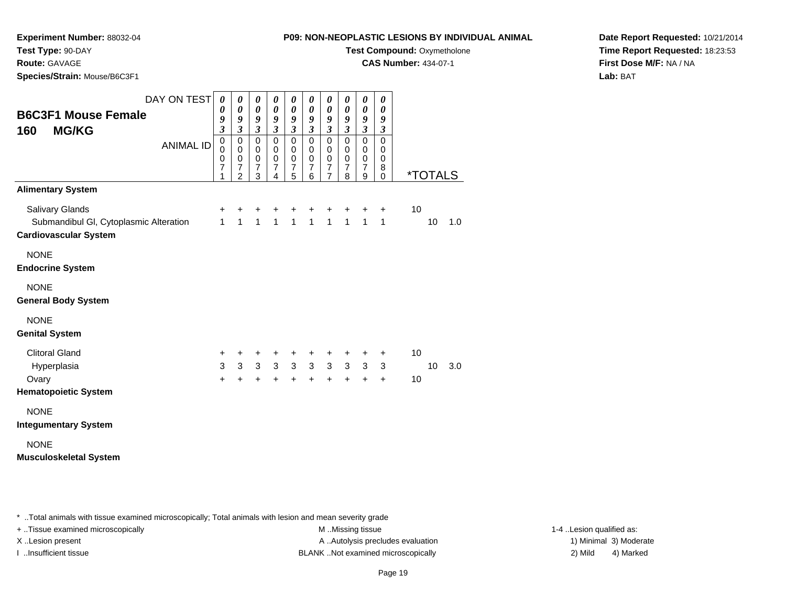**CAS Number:** 434-07-1

**Experiment Number:** 88032-04

**Test Type:** 90-DAY

**Route:** GAVAGE

**Species/Strain:** Mouse/B6C3F1

**Date Report Requested:** 10/21/2014**Time Report Requested:** 18:23:53**First Dose M/F:** NA / NA**Lab:** BAT

| <b>B6C3F1 Mouse Female</b><br><b>MG/KG</b><br>160                                         | DAY ON TEST      | $\boldsymbol{\theta}$<br>0<br>9<br>$\overline{\mathbf{3}}$ | 0<br>$\boldsymbol{\theta}$<br>9<br>$\mathfrak{z}$                             | $\pmb{\theta}$<br>$\pmb{\theta}$<br>9<br>$\boldsymbol{\beta}$ | 0<br>$\boldsymbol{\theta}$<br>9<br>$\boldsymbol{\beta}$ | 0<br>$\boldsymbol{\theta}$<br>9<br>$\boldsymbol{\mathfrak{z}}$ | $\pmb{\theta}$<br>$\pmb{\theta}$<br>9<br>$\mathfrak{z}$ | 0<br>$\pmb{\theta}$<br>9<br>$\mathfrak{z}$                      | 0<br>0<br>9<br>$\boldsymbol{\beta}$                          | $\pmb{\theta}$<br>$\boldsymbol{\theta}$<br>9<br>$\boldsymbol{\beta}$ | 0<br>0<br>9<br>$\boldsymbol{\beta}$    |    |                       |     |
|-------------------------------------------------------------------------------------------|------------------|------------------------------------------------------------|-------------------------------------------------------------------------------|---------------------------------------------------------------|---------------------------------------------------------|----------------------------------------------------------------|---------------------------------------------------------|-----------------------------------------------------------------|--------------------------------------------------------------|----------------------------------------------------------------------|----------------------------------------|----|-----------------------|-----|
|                                                                                           | <b>ANIMAL ID</b> | $\mathbf 0$<br>0<br>0<br>$\overline{7}$<br>1               | $\mathbf 0$<br>0<br>$\mathbf 0$<br>$\overline{\mathcal{I}}$<br>$\overline{2}$ | $\pmb{0}$<br>0<br>$\pmb{0}$<br>$\boldsymbol{7}$<br>3          | $\mathbf 0$<br>0<br>$\pmb{0}$<br>$\overline{7}$<br>4    | $\pmb{0}$<br>0<br>$\pmb{0}$<br>$\boldsymbol{7}$<br>5           | $\mathbf 0$<br>0<br>$\pmb{0}$<br>$\overline{7}$<br>6    | $\mathbf 0$<br>0<br>$\,0\,$<br>$\overline{7}$<br>$\overline{7}$ | $\mathbf 0$<br>$\mathbf 0$<br>$\,0\,$<br>$\overline{7}$<br>8 | $\pmb{0}$<br>0<br>$\pmb{0}$<br>$\overline{7}$<br>9                   | $\mathbf 0$<br>0<br>0<br>8<br>$\Omega$ |    | <i><b>*TOTALS</b></i> |     |
| <b>Alimentary System</b>                                                                  |                  |                                                            |                                                                               |                                                               |                                                         |                                                                |                                                         |                                                                 |                                                              |                                                                      |                                        |    |                       |     |
| Salivary Glands<br>Submandibul GI, Cytoplasmic Alteration<br><b>Cardiovascular System</b> |                  | +<br>$\mathbf{1}$                                          | +<br>$\overline{1}$                                                           | +<br>$\overline{1}$                                           | +<br>$\overline{1}$                                     | +<br>$\mathbf{1}$                                              | $\ddot{}$<br>$\overline{1}$                             | +<br>$\overline{1}$                                             | $\ddot{}$<br>$\overline{1}$                                  | $\ddot{}$<br>$\mathbf{1}$                                            | $\ddot{}$<br>$\mathbf{1}$              | 10 | 10                    | 1.0 |
| <b>NONE</b><br><b>Endocrine System</b>                                                    |                  |                                                            |                                                                               |                                                               |                                                         |                                                                |                                                         |                                                                 |                                                              |                                                                      |                                        |    |                       |     |
| <b>NONE</b><br><b>General Body System</b>                                                 |                  |                                                            |                                                                               |                                                               |                                                         |                                                                |                                                         |                                                                 |                                                              |                                                                      |                                        |    |                       |     |
| <b>NONE</b><br><b>Genital System</b>                                                      |                  |                                                            |                                                                               |                                                               |                                                         |                                                                |                                                         |                                                                 |                                                              |                                                                      |                                        |    |                       |     |
| <b>Clitoral Gland</b>                                                                     |                  | +                                                          | +                                                                             | +                                                             | +                                                       | +                                                              | +                                                       | +                                                               | +                                                            | +                                                                    | +                                      | 10 |                       |     |
| Hyperplasia                                                                               |                  | 3                                                          | 3                                                                             | 3 <sup>1</sup>                                                | $\mathfrak{S}$                                          | 3                                                              | $\mathbf{3}$                                            | $\mathbf{3}$                                                    | $\mathbf{3}$                                                 | 3                                                                    | 3                                      |    | 10 <sup>1</sup>       | 3.0 |
| Ovary<br><b>Hematopoietic System</b>                                                      |                  | $\ddot{}$                                                  | $\ddot{}$                                                                     | $\ddot{}$                                                     | $\ddot{}$                                               | +                                                              | $\ddot{}$                                               | $\ddot{}$                                                       | $\ddot{}$                                                    | $\ddot{}$                                                            | $\ddot{}$                              | 10 |                       |     |
| <b>NONE</b><br><b>Integumentary System</b>                                                |                  |                                                            |                                                                               |                                                               |                                                         |                                                                |                                                         |                                                                 |                                                              |                                                                      |                                        |    |                       |     |
| <b>NONE</b><br><b>Musculoskeletal System</b>                                              |                  |                                                            |                                                                               |                                                               |                                                         |                                                                |                                                         |                                                                 |                                                              |                                                                      |                                        |    |                       |     |

\* ..Total animals with tissue examined microscopically; Total animals with lesion and mean severity grade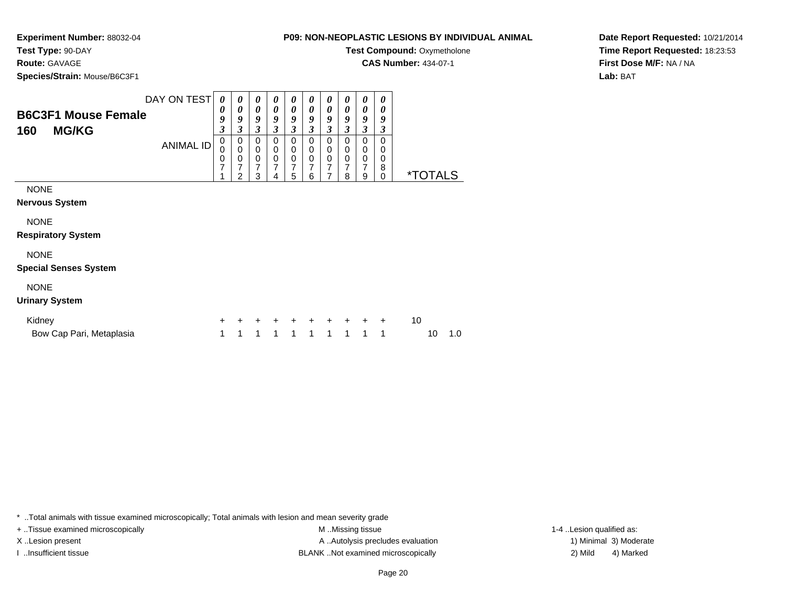**CAS Number:** 434-07-1

**Experiment Number:** 88032-04

**Test Type:** 90-DAY

**Route:** GAVAGE

**Species/Strain:** Mouse/B6C3F1

**Date Report Requested:** 10/21/2014**Time Report Requested:** 18:23:53**First Dose M/F:** NA / NA

**Lab:** BAT

DAY ON TEST**B6C3F1 Mouse Female160 MG/KG**ANIMAL ID*0 0 9 3* 0 0 0 7 1*0 0 9 3*0<br>0<br>0<br>7<br>2 *0 0 9 3*0<br>0<br>7<br>7 3*0 0 9 3* 0 0 0 7 4*0 0 9 3* 0 0 0 7 5*0 0 9 3* 0 0 0 7 6*0 0 9 3* 0 0 0 7 7*0 0 9 3* 0 0 0 7 8*0 0 9 3*0<br>0<br>7<br>7 9*0 0 9 3* 0 0 0 8 $\check{\mathrm{o}}$ 0 \*TOTALSNONE **Nervous System**NONE**Respiratory System**

NONE

# **Special Senses System**

# NONE

#### **Urinary System**

| Kidney                   |                     |  |  |  | + + + + + + + + + + 10 |        |
|--------------------------|---------------------|--|--|--|------------------------|--------|
| Bow Cap Pari, Metaplasia | 1 1 1 1 1 1 1 1 1 1 |  |  |  |                        | 10 1.0 |

\* ..Total animals with tissue examined microscopically; Total animals with lesion and mean severity grade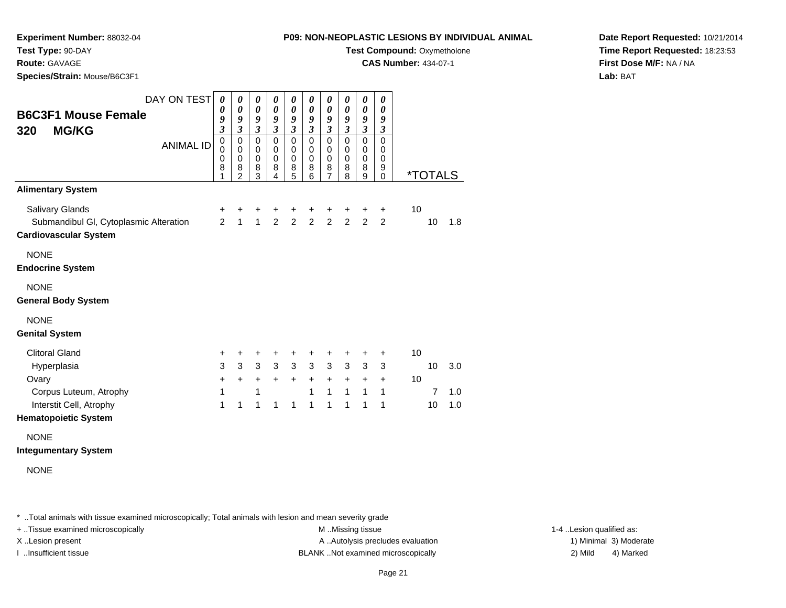**CAS Number:** 434-07-1

**Experiment Number:** 88032-04

**Test Type:** 90-DAY

**Route:** GAVAGE

**Species/Strain:** Mouse/B6C3F1

**Date Report Requested:** 10/21/2014**Time Report Requested:** 18:23:53**First Dose M/F:** NA / NA**Lab:** BAT

| DAY ON TEST<br><b>B6C3F1 Mouse Female</b><br><b>MG/KG</b><br>320<br><b>ANIMAL ID</b> | $\boldsymbol{\theta}$<br>0<br>9<br>$\overline{\mathbf{3}}$<br>$\mathbf 0$<br>$\mathbf 0$<br>0 | 0<br>0<br>9<br>$\overline{\mathbf{3}}$<br>0<br>0<br>0 | 0<br>$\boldsymbol{\theta}$<br>9<br>$\mathfrak{z}$<br>$\mathbf 0$<br>0<br>$\pmb{0}$ | 0<br>0<br>9<br>$\mathfrak{z}$<br>$\mathbf 0$<br>$\mathbf 0$<br>$\mathbf 0$ | 0<br>$\boldsymbol{\theta}$<br>9<br>$\mathfrak{z}$<br>$\mathbf 0$<br>$\pmb{0}$<br>$\mathbf 0$ | 0<br>$\boldsymbol{\theta}$<br>9<br>$\mathfrak{z}$<br>$\mathbf 0$<br>$\pmb{0}$<br>$\mathbf 0$ | 0<br>$\boldsymbol{\theta}$<br>9<br>$\mathfrak{z}$<br>$\mathbf 0$<br>$\mathbf 0$<br>0 | 0<br>$\boldsymbol{\theta}$<br>9<br>$\mathfrak{z}$<br>$\mathbf 0$<br>$\pmb{0}$<br>$\pmb{0}$ | 0<br>$\pmb{\theta}$<br>9<br>$\mathfrak{z}$<br>$\mathsf 0$<br>$\pmb{0}$<br>$\mathbf 0$ | 0<br>$\boldsymbol{\theta}$<br>9<br>$\mathfrak{z}$<br>$\mathbf 0$<br>$\mathbf 0$<br>0 |    |                       |            |
|--------------------------------------------------------------------------------------|-----------------------------------------------------------------------------------------------|-------------------------------------------------------|------------------------------------------------------------------------------------|----------------------------------------------------------------------------|----------------------------------------------------------------------------------------------|----------------------------------------------------------------------------------------------|--------------------------------------------------------------------------------------|--------------------------------------------------------------------------------------------|---------------------------------------------------------------------------------------|--------------------------------------------------------------------------------------|----|-----------------------|------------|
|                                                                                      | 8<br>1                                                                                        | 8<br>$\overline{2}$                                   | 8<br>3                                                                             | 8<br>4                                                                     | 8<br>5                                                                                       | 8<br>6                                                                                       | 8<br>$\overline{7}$                                                                  | 8<br>8                                                                                     | 8<br>$\overline{9}$                                                                   | 9<br>$\mathbf 0$                                                                     |    | <i><b>*TOTALS</b></i> |            |
| <b>Alimentary System</b>                                                             |                                                                                               |                                                       |                                                                                    |                                                                            |                                                                                              |                                                                                              |                                                                                      |                                                                                            |                                                                                       |                                                                                      |    |                       |            |
| Salivary Glands                                                                      | +                                                                                             | +                                                     | +                                                                                  | +                                                                          | +                                                                                            | +                                                                                            | $\ddot{}$                                                                            | +                                                                                          | +                                                                                     | +                                                                                    | 10 |                       |            |
| Submandibul GI, Cytoplasmic Alteration<br><b>Cardiovascular System</b>               | 2                                                                                             | $\mathbf{1}$                                          | $\mathbf{1}$                                                                       | $\overline{2}$                                                             | $\overline{2}$                                                                               | $\overline{2}$                                                                               | 2                                                                                    | $\overline{2}$                                                                             | 2                                                                                     | 2                                                                                    |    | 10                    | 1.8        |
| <b>NONE</b><br><b>Endocrine System</b>                                               |                                                                                               |                                                       |                                                                                    |                                                                            |                                                                                              |                                                                                              |                                                                                      |                                                                                            |                                                                                       |                                                                                      |    |                       |            |
| <b>NONE</b><br><b>General Body System</b>                                            |                                                                                               |                                                       |                                                                                    |                                                                            |                                                                                              |                                                                                              |                                                                                      |                                                                                            |                                                                                       |                                                                                      |    |                       |            |
| <b>NONE</b><br><b>Genital System</b>                                                 |                                                                                               |                                                       |                                                                                    |                                                                            |                                                                                              |                                                                                              |                                                                                      |                                                                                            |                                                                                       |                                                                                      |    |                       |            |
| <b>Clitoral Gland</b>                                                                | +                                                                                             | +                                                     | +                                                                                  | +                                                                          | +                                                                                            | +                                                                                            | +                                                                                    | +                                                                                          | +                                                                                     | $\ddot{}$                                                                            | 10 |                       |            |
| Hyperplasia                                                                          | 3                                                                                             | 3                                                     | 3                                                                                  | 3                                                                          | 3                                                                                            | 3                                                                                            | $\mathbf{3}$                                                                         | 3                                                                                          | 3                                                                                     | 3                                                                                    |    | 10                    | 3.0        |
| Ovary                                                                                | $\ddot{}$                                                                                     | $+$                                                   | $\ddot{}$                                                                          | $\ddot{}$                                                                  | $\ddot{}$                                                                                    | $\ddot{}$                                                                                    | $\ddot{}$                                                                            | $\ddot{}$                                                                                  | $\ddot{}$                                                                             | $\ddot{}$                                                                            | 10 |                       |            |
| Corpus Luteum, Atrophy<br>Interstit Cell, Atrophy                                    | 1<br>1                                                                                        | 1                                                     | 1<br>1                                                                             | $\mathbf{1}$                                                               | 1                                                                                            | 1<br>1                                                                                       | $\mathbf{1}$<br>1                                                                    | $\mathbf{1}$<br>1                                                                          | $\mathbf{1}$<br>1                                                                     | $\mathbf{1}$<br>1                                                                    |    | $\overline{7}$<br>10  | 1.0<br>1.0 |
| <b>Hematopoietic System</b>                                                          |                                                                                               |                                                       |                                                                                    |                                                                            |                                                                                              |                                                                                              |                                                                                      |                                                                                            |                                                                                       |                                                                                      |    |                       |            |
| <b>NONE</b><br><b>Integumentary System</b><br><b>NONE</b>                            |                                                                                               |                                                       |                                                                                    |                                                                            |                                                                                              |                                                                                              |                                                                                      |                                                                                            |                                                                                       |                                                                                      |    |                       |            |

\* ..Total animals with tissue examined microscopically; Total animals with lesion and mean severity grade

+ ..Tissue examined microscopically examined microscopically examined as:  $M$  ..Missing tissue 1-4 ..Lesion qualified as: X..Lesion present **A ..Autolysis precludes evaluation** A ..Autolysis precludes evaluation 1) Minimal 3) Moderate

I ..Insufficient tissue BLANK ..Not examined microscopically 2) Mild 4) Marked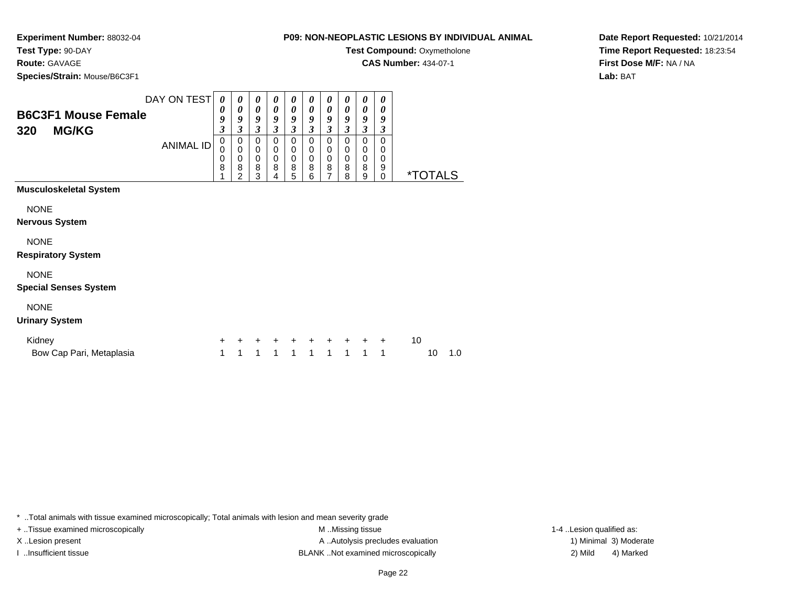**CAS Number:** 434-07-1

**Experiment Number:** 88032-04**Test Type:** 90-DAY

**Route:** GAVAGE

**Species/Strain:** Mouse/B6C3F1

# **Date Report Requested:** 10/21/2014**Time Report Requested:** 18:23:54**First Dose M/F:** NA / NA**Lab:** BAT

| <b>B6C3F1 Mouse Female</b><br><b>MG/KG</b><br>320                     | DAY ON TEST<br><b>ANIMAL ID</b> | 0<br>0<br>9<br>3<br>0<br>0<br>0<br>8 | 0<br>0<br>9<br>$\boldsymbol{\beta}$<br>0<br>$\mathbf 0$<br>0<br>8<br>2 | 0<br>0<br>9<br>$\boldsymbol{\beta}$<br>$\mathbf 0$<br>$\pmb{0}$<br>$\pmb{0}$<br>8<br>3 | 0<br>0<br>9<br>$\boldsymbol{\mathfrak{z}}$<br>0<br>$\pmb{0}$<br>$\pmb{0}$<br>8<br>4 | 0<br>0<br>9<br>3<br>0<br>$\mathbf 0$<br>0<br>8<br>5 | 0<br>$\boldsymbol{\theta}$<br>9<br>$\boldsymbol{\beta}$<br>0<br>0<br>$\pmb{0}$<br>8<br>6 | 0<br>0<br>9<br>$\boldsymbol{\mathfrak{z}}$<br>$\mathbf 0$<br>0<br>$\mathbf 0$<br>8<br>$\overline{7}$ | 0<br>0<br>9<br>$\boldsymbol{\beta}$<br>$\mathbf 0$<br>0<br>0<br>8<br>8 | 0<br>0<br>9<br>3<br>$\mathbf 0$<br>0<br>0<br>8<br>9 | 0<br>0<br>9<br>3<br>0<br>0<br>0<br>9<br>0 | <i><b>*TOTALS</b></i> |
|-----------------------------------------------------------------------|---------------------------------|--------------------------------------|------------------------------------------------------------------------|----------------------------------------------------------------------------------------|-------------------------------------------------------------------------------------|-----------------------------------------------------|------------------------------------------------------------------------------------------|------------------------------------------------------------------------------------------------------|------------------------------------------------------------------------|-----------------------------------------------------|-------------------------------------------|-----------------------|
| <b>Musculoskeletal System</b><br><b>NONE</b><br><b>Nervous System</b> |                                 |                                      |                                                                        |                                                                                        |                                                                                     |                                                     |                                                                                          |                                                                                                      |                                                                        |                                                     |                                           |                       |
| <b>NONE</b><br><b>Respiratory System</b><br><b>NONE</b>               |                                 |                                      |                                                                        |                                                                                        |                                                                                     |                                                     |                                                                                          |                                                                                                      |                                                                        |                                                     |                                           |                       |
| <b>Special Senses System</b>                                          |                                 |                                      |                                                                        |                                                                                        |                                                                                     |                                                     |                                                                                          |                                                                                                      |                                                                        |                                                     |                                           |                       |
| <b>NONE</b><br><b>Urinary System</b>                                  |                                 |                                      |                                                                        |                                                                                        |                                                                                     |                                                     |                                                                                          |                                                                                                      |                                                                        |                                                     |                                           |                       |
| Kidney<br>Bow Cap Pari, Metaplasia                                    |                                 | +<br>1                               | +<br>1                                                                 | $\ddot{}$<br>1                                                                         | $\ddot{}$<br>1                                                                      | $\ddot{}$<br>1                                      | $\ddot{}$<br>1                                                                           | 1                                                                                                    | $\ddot{}$<br>1                                                         | $\ddot{}$<br>1                                      | $\ddot{}$<br>1                            | 10<br>10<br>1.0       |

\* ..Total animals with tissue examined microscopically; Total animals with lesion and mean severity grade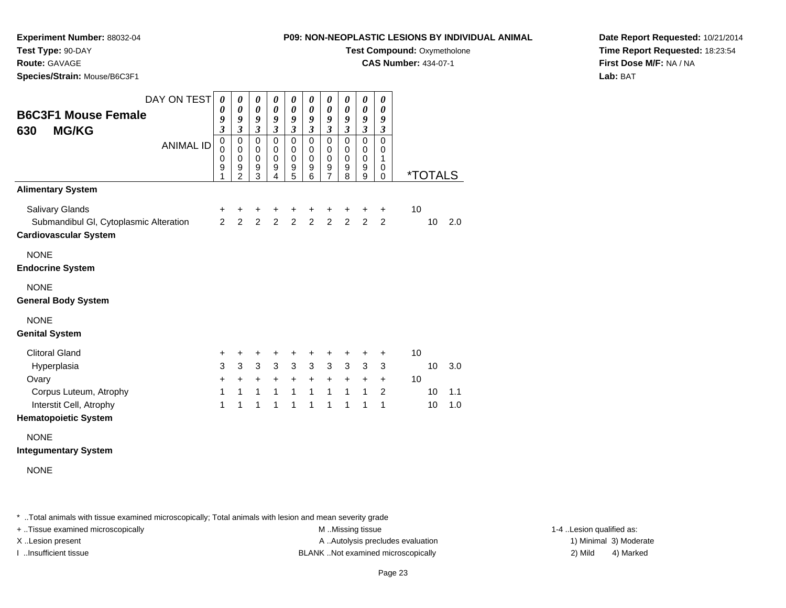**CAS Number:** 434-07-1

**Experiment Number:** 88032-04

**Test Type:** 90-DAY

**Route:** GAVAGE

**Species/Strain:** Mouse/B6C3F1

**Date Report Requested:** 10/21/2014**Time Report Requested:** 18:23:54**First Dose M/F:** NA / NA**Lab:** BAT

| <b>B6C3F1 Mouse Female</b><br><b>MG/KG</b><br>630                                         | DAY ON TEST      | 0<br>0<br>9<br>$\overline{\mathbf{3}}$           | $\boldsymbol{\theta}$<br>$\boldsymbol{\theta}$<br>9<br>$\mathfrak{z}$              | 0<br>$\pmb{\theta}$<br>$\boldsymbol{g}$<br>$\mathfrak{z}$             | 0<br>$\boldsymbol{\theta}$<br>9<br>$\mathfrak{z}$                   | 0<br>$\boldsymbol{\theta}$<br>9<br>$\mathfrak{z}$          | 0<br>$\boldsymbol{\theta}$<br>9<br>$\mathfrak{z}$  | 0<br>$\pmb{\theta}$<br>9<br>$\mathfrak{z}$                        | 0<br>$\boldsymbol{\theta}$<br>9<br>$\mathfrak{z}$ | 0<br>$\boldsymbol{\theta}$<br>9<br>$\mathfrak{z}$ | 0<br>$\boldsymbol{\theta}$<br>9<br>$\mathfrak{z}$                        |    |                |                   |
|-------------------------------------------------------------------------------------------|------------------|--------------------------------------------------|------------------------------------------------------------------------------------|-----------------------------------------------------------------------|---------------------------------------------------------------------|------------------------------------------------------------|----------------------------------------------------|-------------------------------------------------------------------|---------------------------------------------------|---------------------------------------------------|--------------------------------------------------------------------------|----|----------------|-------------------|
|                                                                                           | <b>ANIMAL ID</b> | $\mathbf 0$<br>$\Omega$<br>$\mathbf 0$<br>9<br>1 | $\overline{0}$<br>$\mathbf 0$<br>$\mathbf 0$<br>$\boldsymbol{9}$<br>$\overline{2}$ | $\overline{0}$<br>$\mathbf 0$<br>$\mathbf 0$<br>$\boldsymbol{9}$<br>3 | $\overline{0}$<br>$\mathbf 0$<br>$\mathbf 0$<br>9<br>$\overline{4}$ | $\overline{0}$<br>$\mathbf 0$<br>$\mathbf 0$<br>$9\,$<br>5 | $\overline{0}$<br>$\pmb{0}$<br>$\pmb{0}$<br>9<br>6 | $\overline{0}$<br>$\pmb{0}$<br>$\mathbf 0$<br>9<br>$\overline{7}$ | $\mathbf 0$<br>$\pmb{0}$<br>$\pmb{0}$<br>9<br>8   | $\overline{0}$<br>$\,0\,$<br>$\pmb{0}$<br>9<br>9  | $\overline{0}$<br>$\mathbf 0$<br>$\mathbf{1}$<br>$\mathbf 0$<br>$\Omega$ |    | *TOTALS        |                   |
| <b>Alimentary System</b>                                                                  |                  |                                                  |                                                                                    |                                                                       |                                                                     |                                                            |                                                    |                                                                   |                                                   |                                                   |                                                                          |    |                |                   |
| Salivary Glands<br>Submandibul GI, Cytoplasmic Alteration<br><b>Cardiovascular System</b> |                  | +<br>$\overline{2}$                              | $\ddot{}$<br>$\overline{2}$                                                        | $\mathbf +$<br>$\overline{2}$                                         | +<br>$\overline{2}$                                                 | $\mathbf +$<br>$\overline{2}$                              | $\ddot{}$<br>$\overline{2}$                        | $\ddot{}$<br>$\overline{2}$                                       | $\ddot{}$<br>$\overline{2}$                       | $\ddot{}$<br>$\overline{2}$                       | $\mathbf +$<br>$\overline{2}$                                            | 10 | 10             | 2.0               |
| <b>NONE</b><br><b>Endocrine System</b>                                                    |                  |                                                  |                                                                                    |                                                                       |                                                                     |                                                            |                                                    |                                                                   |                                                   |                                                   |                                                                          |    |                |                   |
| <b>NONE</b><br><b>General Body System</b>                                                 |                  |                                                  |                                                                                    |                                                                       |                                                                     |                                                            |                                                    |                                                                   |                                                   |                                                   |                                                                          |    |                |                   |
| <b>NONE</b><br><b>Genital System</b>                                                      |                  |                                                  |                                                                                    |                                                                       |                                                                     |                                                            |                                                    |                                                                   |                                                   |                                                   |                                                                          |    |                |                   |
| <b>Clitoral Gland</b>                                                                     |                  | +                                                | +                                                                                  | +                                                                     | +                                                                   | +                                                          | +                                                  | +                                                                 | +                                                 | +                                                 | +                                                                        | 10 |                |                   |
| Hyperplasia<br>Ovary<br>Corpus Luteum, Atrophy<br>Interstit Cell, Atrophy                 |                  | 3<br>+<br>1<br>1                                 | 3<br>$\ddot{}$<br>$\mathbf{1}$<br>1                                                | 3<br>$\ddot{}$<br>$\mathbf{1}$<br>1                                   | $\mathbf{3}$<br>$\ddot{}$<br>$\mathbf{1}$<br>1                      | $\mathbf{3}$<br>$\ddot{}$<br>$\mathbf{1}$<br>1             | $\mathbf{3}$<br>$\ddot{}$<br>$\mathbf{1}$<br>1     | 3<br>$\ddot{}$<br>$\mathbf{1}$<br>1                               | $\mathfrak{S}$<br>$\ddot{}$<br>$\mathbf{1}$<br>1  | $\mathbf{3}$<br>$\ddot{}$<br>$\mathbf{1}$<br>1    | 3<br>$\ddot{}$<br>$\overline{2}$<br>1                                    | 10 | 10<br>10<br>10 | 3.0<br>1.1<br>1.0 |
| <b>Hematopoietic System</b>                                                               |                  |                                                  |                                                                                    |                                                                       |                                                                     |                                                            |                                                    |                                                                   |                                                   |                                                   |                                                                          |    |                |                   |
| <b>NONE</b><br><b>Integumentary System</b><br><b>NONE</b>                                 |                  |                                                  |                                                                                    |                                                                       |                                                                     |                                                            |                                                    |                                                                   |                                                   |                                                   |                                                                          |    |                |                   |

\* ..Total animals with tissue examined microscopically; Total animals with lesion and mean severity grade

+ ..Tissue examined microscopically examined microscopically examined as:  $M$  ..Missing tissue 1-4 ..Lesion qualified as: X..Lesion present **A ..Autolysis precludes evaluation** A ..Autolysis precludes evaluation 1) Minimal 3) Moderate

I ..Insufficient tissue BLANK ..Not examined microscopically 2) Mild 4) Marked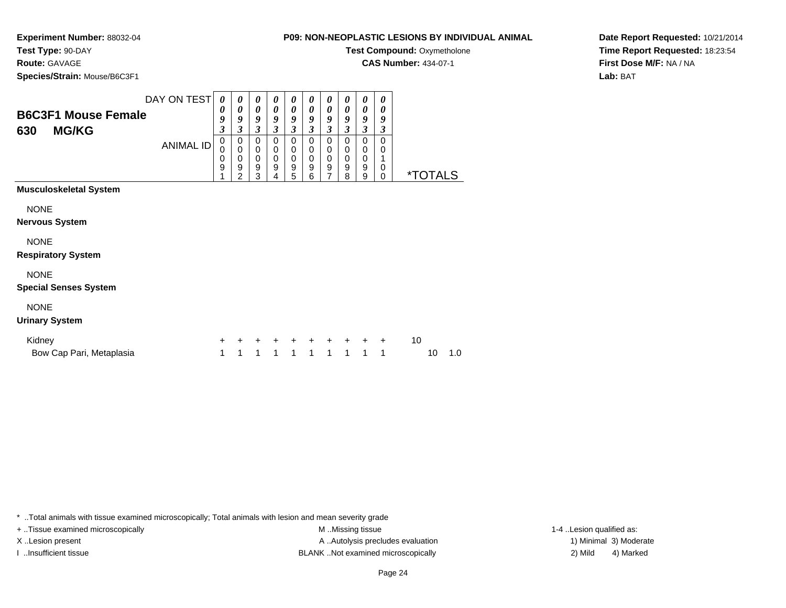**CAS Number:** 434-07-1

**Experiment Number:** 88032-04**Test Type:** 90-DAY

**Route:** GAVAGE

**Species/Strain:** Mouse/B6C3F1

**Date Report Requested:** 10/21/2014**Time Report Requested:** 18:23:54**First Dose M/F:** NA / NA**Lab:** BAT

| <b>B6C3F1 Mouse Female</b><br><b>MG/KG</b><br>630              | DAY ON TEST<br><b>ANIMAL ID</b> | 0<br>0<br>9<br>3<br>0<br>0<br>0<br>9 | 0<br>0<br>9<br>3<br>0<br>$\mathbf 0$<br>0<br>9<br>$\overline{2}$ | 0<br>0<br>9<br>3<br>0<br>$\mathbf 0$<br>$\mathbf 0$<br>9<br>3 | 0<br>0<br>9<br>$\boldsymbol{\beta}$<br>0<br>0<br>$\pmb{0}$<br>$\boldsymbol{9}$<br>$\overline{4}$ | 0<br>0<br>9<br>3<br>0<br>0<br>0<br>9<br>5 | $\boldsymbol{\theta}$<br>$\boldsymbol{\theta}$<br>9<br>3<br>0<br>0<br>0<br>9<br>6 | 0<br>0<br>9<br>3<br>0<br>0<br>0<br>9<br>7 | 0<br>$\boldsymbol{\theta}$<br>9<br>$\boldsymbol{\beta}$<br>0<br>0<br>0<br>9<br>8 | 0<br>0<br>9<br>$\boldsymbol{\beta}$<br>0<br>0<br>0<br>9<br>9 | 0<br>$\boldsymbol{\theta}$<br>9<br>3<br>$\mathbf 0$<br>0<br>1<br>$\pmb{0}$<br>$\mathbf 0$ | <i><b>*TOTALS</b></i> |
|----------------------------------------------------------------|---------------------------------|--------------------------------------|------------------------------------------------------------------|---------------------------------------------------------------|--------------------------------------------------------------------------------------------------|-------------------------------------------|-----------------------------------------------------------------------------------|-------------------------------------------|----------------------------------------------------------------------------------|--------------------------------------------------------------|-------------------------------------------------------------------------------------------|-----------------------|
| <b>Musculoskeletal System</b><br><b>NONE</b><br>Nervous System |                                 |                                      |                                                                  |                                                               |                                                                                                  |                                           |                                                                                   |                                           |                                                                                  |                                                              |                                                                                           |                       |
| <b>NONE</b><br><b>Respiratory System</b><br><b>NONE</b>        |                                 |                                      |                                                                  |                                                               |                                                                                                  |                                           |                                                                                   |                                           |                                                                                  |                                                              |                                                                                           |                       |
| <b>Special Senses System</b><br><b>NONE</b>                    |                                 |                                      |                                                                  |                                                               |                                                                                                  |                                           |                                                                                   |                                           |                                                                                  |                                                              |                                                                                           |                       |
| <b>Urinary System</b>                                          |                                 |                                      |                                                                  |                                                               |                                                                                                  |                                           |                                                                                   |                                           |                                                                                  |                                                              |                                                                                           |                       |
| Kidney<br>Bow Cap Pari, Metaplasia                             |                                 | +<br>1                               | ÷<br>1                                                           | $\ddot{}$<br>1                                                | $\pm$<br>1                                                                                       | $+$<br>1                                  | $\ddot{}$<br>1                                                                    | $+$<br>1                                  | $\ddot{}$<br>1                                                                   | 1                                                            | $\ddot{}$<br>1                                                                            | 10<br>10<br>1.0       |

\* ..Total animals with tissue examined microscopically; Total animals with lesion and mean severity grade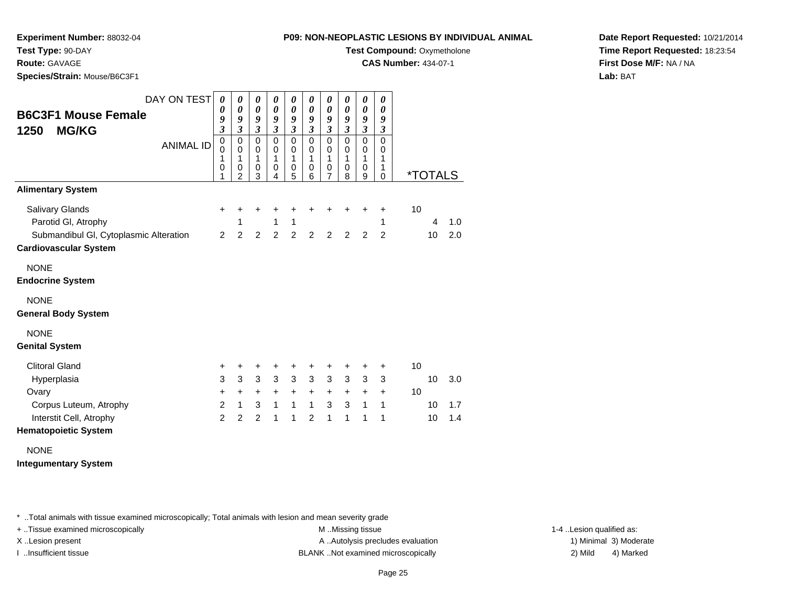**CAS Number:** 434-07-1

**Experiment Number:** 88032-04**Test Type:** 90-DAY

**Route:** GAVAGE

**Species/Strain:** Mouse/B6C3F1

**Date Report Requested:** 10/21/2014**Time Report Requested:** 18:23:54**First Dose M/F:** NA / NA**Lab:** BAT

| <b>B6C3F1 Mouse Female</b><br><b>MG/KG</b><br>1250<br><b>Alimentary System</b> | DAY ON TEST<br><b>ANIMAL ID</b> | $\boldsymbol{\theta}$<br>0<br>9<br>3<br>$\mathbf 0$<br>0<br>1<br>0<br>1 | $\boldsymbol{\theta}$<br>$\boldsymbol{\theta}$<br>9<br>$\mathfrak{z}$<br>$\pmb{0}$<br>$\mathbf 0$<br>1<br>0<br>$\overline{2}$ | $\boldsymbol{\theta}$<br>$\pmb{\theta}$<br>9<br>$\mathfrak{z}$<br>$\mathbf 0$<br>0<br>1<br>0<br>3 | $\boldsymbol{\theta}$<br>$\boldsymbol{\theta}$<br>9<br>$\mathfrak{z}$<br>$\mathbf 0$<br>0<br>1<br>0<br>4 | $\boldsymbol{\theta}$<br>$\boldsymbol{\theta}$<br>9<br>$\mathfrak{z}$<br>$\mathbf 0$<br>0<br>1<br>$\pmb{0}$<br>5 | $\boldsymbol{\theta}$<br>$\boldsymbol{\theta}$<br>9<br>$\mathfrak{z}$<br>$\Omega$<br>0<br>1<br>$\mathbf 0$<br>6 | $\boldsymbol{\theta}$<br>$\boldsymbol{\theta}$<br>9<br>$\mathfrak{z}$<br>$\mathbf 0$<br>0<br>1<br>$\mathbf 0$<br>$\overline{7}$ | 0<br>0<br>9<br>$\mathfrak{z}$<br>$\mathbf 0$<br>0<br>1<br>0<br>8 | $\boldsymbol{\theta}$<br>$\boldsymbol{\theta}$<br>9<br>$\mathfrak{z}$<br>0<br>0<br>1<br>0<br>9 | $\boldsymbol{\theta}$<br>$\boldsymbol{\theta}$<br>9<br>$\mathfrak{z}$<br>$\Omega$<br>0<br>1<br>1<br>$\Omega$ |    | <i><b>*TOTALS</b></i> |     |
|--------------------------------------------------------------------------------|---------------------------------|-------------------------------------------------------------------------|-------------------------------------------------------------------------------------------------------------------------------|---------------------------------------------------------------------------------------------------|----------------------------------------------------------------------------------------------------------|------------------------------------------------------------------------------------------------------------------|-----------------------------------------------------------------------------------------------------------------|---------------------------------------------------------------------------------------------------------------------------------|------------------------------------------------------------------|------------------------------------------------------------------------------------------------|--------------------------------------------------------------------------------------------------------------|----|-----------------------|-----|
| <b>Salivary Glands</b>                                                         |                                 | $\ddot{}$                                                               | +                                                                                                                             | +                                                                                                 |                                                                                                          |                                                                                                                  |                                                                                                                 |                                                                                                                                 |                                                                  |                                                                                                | +                                                                                                            | 10 |                       |     |
| Parotid GI, Atrophy                                                            |                                 |                                                                         | 1                                                                                                                             |                                                                                                   | +<br>1                                                                                                   | +<br>1                                                                                                           |                                                                                                                 |                                                                                                                                 |                                                                  | +                                                                                              | 1                                                                                                            |    | 4                     | 1.0 |
| Submandibul GI, Cytoplasmic Alteration                                         |                                 | 2                                                                       | $\overline{2}$                                                                                                                | $\overline{2}$                                                                                    | 2                                                                                                        | $\overline{2}$                                                                                                   | $\overline{2}$                                                                                                  | 2                                                                                                                               | $\overline{2}$                                                   | 2                                                                                              | $\overline{2}$                                                                                               |    | 10                    | 2.0 |
| <b>Cardiovascular System</b>                                                   |                                 |                                                                         |                                                                                                                               |                                                                                                   |                                                                                                          |                                                                                                                  |                                                                                                                 |                                                                                                                                 |                                                                  |                                                                                                |                                                                                                              |    |                       |     |
| <b>NONE</b><br><b>Endocrine System</b>                                         |                                 |                                                                         |                                                                                                                               |                                                                                                   |                                                                                                          |                                                                                                                  |                                                                                                                 |                                                                                                                                 |                                                                  |                                                                                                |                                                                                                              |    |                       |     |
| <b>NONE</b><br><b>General Body System</b>                                      |                                 |                                                                         |                                                                                                                               |                                                                                                   |                                                                                                          |                                                                                                                  |                                                                                                                 |                                                                                                                                 |                                                                  |                                                                                                |                                                                                                              |    |                       |     |
| <b>NONE</b><br><b>Genital System</b>                                           |                                 |                                                                         |                                                                                                                               |                                                                                                   |                                                                                                          |                                                                                                                  |                                                                                                                 |                                                                                                                                 |                                                                  |                                                                                                |                                                                                                              |    |                       |     |
| <b>Clitoral Gland</b>                                                          |                                 | +                                                                       | +                                                                                                                             | +                                                                                                 | +                                                                                                        | +                                                                                                                | +                                                                                                               | +                                                                                                                               | +                                                                | +                                                                                              | +                                                                                                            | 10 |                       |     |
| Hyperplasia                                                                    |                                 | 3                                                                       | 3                                                                                                                             | $\sqrt{3}$                                                                                        | $\mathfrak{Z}$                                                                                           | $\mathbf{3}$                                                                                                     | 3                                                                                                               | 3                                                                                                                               | $\mathbf{3}$                                                     | 3                                                                                              | 3                                                                                                            |    | 10                    | 3.0 |
| Ovary                                                                          |                                 | +                                                                       | $\ddot{}$                                                                                                                     | $\ddot{}$                                                                                         | $\ddot{}$                                                                                                | $\ddot{}$                                                                                                        | $\ddot{}$                                                                                                       | $\ddot{}$                                                                                                                       | $\ddot{}$                                                        | $\ddot{}$                                                                                      | $\ddot{}$                                                                                                    | 10 |                       |     |
| Corpus Luteum, Atrophy                                                         |                                 | $\overline{2}$                                                          | $\mathbf{1}$                                                                                                                  | 3                                                                                                 | $\mathbf{1}$                                                                                             | $\mathbf{1}$                                                                                                     | $\mathbf{1}$                                                                                                    | 3                                                                                                                               | $\mathbf{3}$                                                     | $\mathbf{1}$                                                                                   | $\mathbf{1}$                                                                                                 |    | 10                    | 1.7 |
| Interstit Cell, Atrophy                                                        |                                 | 2                                                                       | $\overline{2}$                                                                                                                | 2                                                                                                 | 1                                                                                                        | 1                                                                                                                | $\overline{2}$                                                                                                  | 1                                                                                                                               | 1                                                                | 1                                                                                              | 1                                                                                                            |    | 10                    | 1.4 |
| <b>Hematopoietic System</b>                                                    |                                 |                                                                         |                                                                                                                               |                                                                                                   |                                                                                                          |                                                                                                                  |                                                                                                                 |                                                                                                                                 |                                                                  |                                                                                                |                                                                                                              |    |                       |     |

NONE**Integumentary System**

\* ..Total animals with tissue examined microscopically; Total animals with lesion and mean severity grade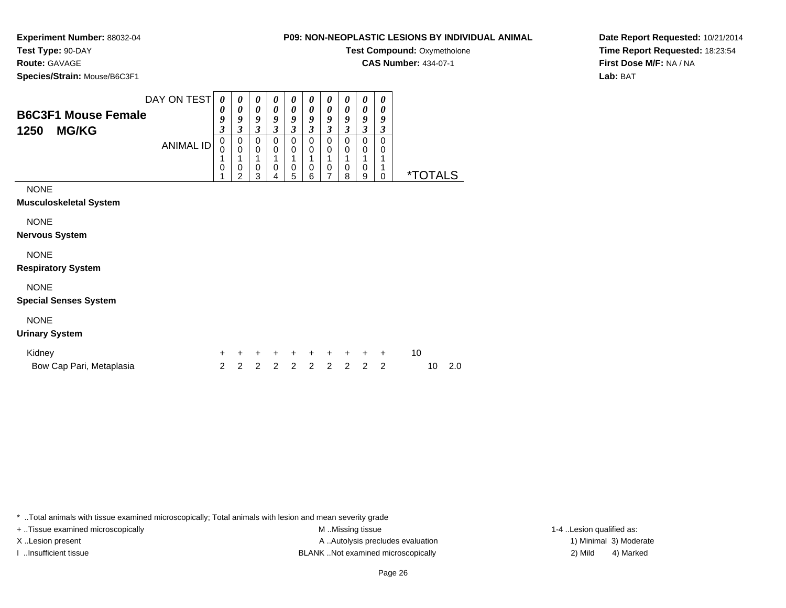**CAS Number:** 434-07-1

**Experiment Number:** 88032-04**Test Type:** 90-DAY

**Route:** GAVAGE

**Species/Strain:** Mouse/B6C3F1

**Date Report Requested:** 10/21/2014**Time Report Requested:** 18:23:54**First Dose M/F:** NA / NA

**Lab:** BAT

| DAY ON TEST                                        | 0           | 0                | 0                | 0                | 0                | $\theta$         | 0                | 0                | 0                | 0           |                       |
|----------------------------------------------------|-------------|------------------|------------------|------------------|------------------|------------------|------------------|------------------|------------------|-------------|-----------------------|
| <b>B6C3F1 Mouse Female</b><br>1250<br><b>MG/KG</b> | 0<br>9<br>3 | 0<br>9<br>3      | 0<br>9<br>3      | 0<br>9<br>3      | 0<br>9<br>3      | 0<br>9<br>3      | 0<br>9<br>3      | 0<br>9<br>3      | 0<br>9<br>3      | 0<br>9<br>3 |                       |
| <b>ANIMAL ID</b>                                   | 0<br>0<br>0 | 0<br>0<br>0<br>ົ | 0<br>0<br>0<br>3 | 0<br>0<br>0<br>4 | 0<br>0<br>0<br>5 | 0<br>0<br>0<br>6 | 0<br>0<br>0<br>7 | 0<br>0<br>0<br>8 | 0<br>0<br>0<br>9 | 0<br>0<br>0 | <i><b>*TOTALS</b></i> |
| <b>NONE</b><br>Musculoskeletal System              |             |                  |                  |                  |                  |                  |                  |                  |                  |             |                       |

NONE

**Nervous System**

## NONE

**Respiratory System**

## NONE

**Special Senses System**

# NONE

**Urinary System**

| Kidney                   |  |                     |  |  | + + + + + + + + + + 10 |        |  |
|--------------------------|--|---------------------|--|--|------------------------|--------|--|
| Bow Cap Pari, Metaplasia |  | 2 2 2 2 2 2 2 2 2 2 |  |  |                        | 10 2.0 |  |

\* ..Total animals with tissue examined microscopically; Total animals with lesion and mean severity grade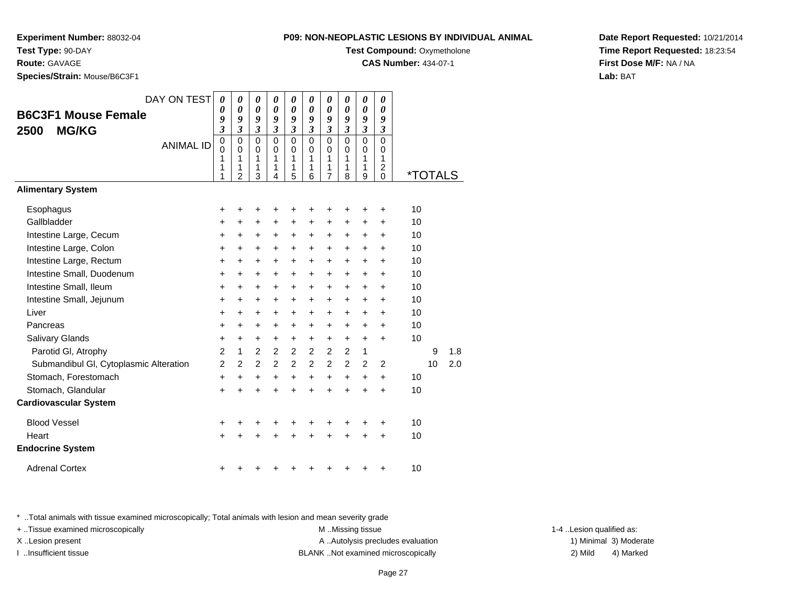**Experiment Number:** 88032-04**Test Type:** 90-DAY

**Route:** GAVAGE

**Species/Strain:** Mouse/B6C3F1

| 9: NON-NEOPLASTIC LESIONS BY INDIVIDUAL ANIM/ |  |
|-----------------------------------------------|--|
| <b>Test Compound: Oxymetholone</b>            |  |

**CAS Number:** 434-07-1

**Date Report Requested:** 10/21/2014**Time Report Requested:** 18:23:54**First Dose M/F:** NA / NA**Lab:** BAT

| DAY ON TEST                            | 0                       | 0                                                   | 0                            | 0                                   | 0                                   | 0                                                 | 0                               | 0                                                 | 0                                      | 0                                                                 |                       |     |
|----------------------------------------|-------------------------|-----------------------------------------------------|------------------------------|-------------------------------------|-------------------------------------|---------------------------------------------------|---------------------------------|---------------------------------------------------|----------------------------------------|-------------------------------------------------------------------|-----------------------|-----|
| <b>B6C3F1 Mouse Female</b>             | 0<br>9                  | 0<br>9                                              | $\boldsymbol{\theta}$<br>9   | $\boldsymbol{\theta}$<br>9          | $\boldsymbol{\theta}$<br>9          | 0<br>9                                            | 0<br>9                          | $\boldsymbol{\theta}$<br>9                        | 0<br>9                                 | $\boldsymbol{\theta}$<br>9                                        |                       |     |
| <b>MG/KG</b><br>2500                   | $\overline{\mathbf{3}}$ | 3                                                   | 3                            | 3                                   | 3                                   | $\overline{\mathbf{3}}$                           | 3                               | $\mathfrak{z}$                                    | 3                                      | $\mathfrak{z}$                                                    |                       |     |
| <b>ANIMAL ID</b>                       | 0<br>0<br>1<br>1<br>1   | $\mathbf 0$<br>$\Omega$<br>1<br>1<br>$\overline{2}$ | $\Omega$<br>0<br>1<br>1<br>3 | $\Omega$<br>$\Omega$<br>1<br>1<br>4 | $\Omega$<br>$\Omega$<br>1<br>1<br>5 | $\mathbf 0$<br>$\Omega$<br>$\mathbf{1}$<br>1<br>6 | $\mathbf 0$<br>0<br>1<br>1<br>7 | $\mathbf 0$<br>$\Omega$<br>$\mathbf{1}$<br>1<br>8 | $\Omega$<br>0<br>$\mathbf 1$<br>1<br>9 | $\mathbf 0$<br>0<br>$\mathbf{1}$<br>$\overline{c}$<br>$\mathbf 0$ | <i><b>*TOTALS</b></i> |     |
| <b>Alimentary System</b>               |                         |                                                     |                              |                                     |                                     |                                                   |                                 |                                                   |                                        |                                                                   |                       |     |
| Esophagus                              | +                       |                                                     | +                            |                                     |                                     |                                                   | +                               | +                                                 | +                                      | +                                                                 | 10                    |     |
| Gallbladder                            | +                       | +                                                   | +                            | +                                   | +                                   | +                                                 | +                               | +                                                 | +                                      | +                                                                 | 10                    |     |
| Intestine Large, Cecum                 | +                       | +                                                   | +                            | $\ddot{}$                           | $\ddot{}$                           | $\ddot{}$                                         | +                               | $\ddot{}$                                         | +                                      | +                                                                 | 10                    |     |
| Intestine Large, Colon                 | $\pm$                   | $\pm$                                               | +                            | +                                   | $\pm$                               | $\ddot{}$                                         | +                               | +                                                 | $\pm$                                  | $\ddot{}$                                                         | 10                    |     |
| Intestine Large, Rectum                | $\ddot{}$               | $\ddot{}$                                           | $\ddot{}$                    | $\ddot{}$                           | $+$                                 | $\ddot{}$                                         | +                               | $\ddot{}$                                         | +                                      | $\ddot{}$                                                         | 10                    |     |
| Intestine Small, Duodenum              | +                       | +                                                   | +                            | +                                   | +                                   | +                                                 | +                               | +                                                 | +                                      | +                                                                 | 10                    |     |
| Intestine Small, Ileum                 | +                       | $\ddot{}$                                           | $\ddot{}$                    | $\ddot{}$                           | $\ddot{}$                           | $\ddot{}$                                         | +                               | $\ddot{}$                                         | +                                      | $\ddot{}$                                                         | 10                    |     |
| Intestine Small, Jejunum               | +                       | +                                                   | +                            | +                                   | $\ddot{}$                           | +                                                 | +                               | +                                                 | +                                      | +                                                                 | 10                    |     |
| Liver                                  | $\ddot{}$               | $\ddot{}$                                           | $\ddot{}$                    | $\ddot{}$                           | $\ddot{}$                           | $\ddot{}$                                         | $\ddot{}$                       | $\ddot{}$                                         | $\ddot{}$                              | $\ddot{}$                                                         | 10                    |     |
| Pancreas                               | +                       | +                                                   | +                            | +                                   | +                                   | +                                                 | +                               | +                                                 | +                                      | +                                                                 | 10                    |     |
| Salivary Glands                        | +                       | $\ddot{}$                                           | $\ddot{}$                    | $\ddot{}$                           | $\ddot{}$                           | $\ddot{}$                                         | +                               | $\ddot{}$                                         | $\ddot{}$                              | $\ddot{}$                                                         | 10                    |     |
| Parotid GI, Atrophy                    | $\overline{2}$          | $\mathbf{1}$                                        | 2                            | 2                                   | 2                                   | 2                                                 | 2                               | $\overline{2}$                                    | 1                                      |                                                                   | 9                     | 1.8 |
| Submandibul GI, Cytoplasmic Alteration | $\overline{2}$          | $\mathcal{P}$                                       | 2                            | 2                                   | $\overline{2}$                      | $\overline{2}$                                    | $\overline{2}$                  | $\overline{2}$                                    | 2                                      | 2                                                                 | 10                    | 2.0 |
| Stomach, Forestomach                   | +                       | +                                                   | +                            | $\ddot{}$                           | +                                   | $\ddot{}$                                         | +                               | +                                                 | +                                      | +                                                                 | 10                    |     |
| Stomach, Glandular                     | $\ddot{}$               |                                                     | $\ddot{}$                    |                                     |                                     | ÷                                                 | ÷                               | ÷                                                 | $\ddot{}$                              | $\ddot{}$                                                         | 10                    |     |
| <b>Cardiovascular System</b>           |                         |                                                     |                              |                                     |                                     |                                                   |                                 |                                                   |                                        |                                                                   |                       |     |
| <b>Blood Vessel</b>                    | +                       |                                                     | +                            |                                     |                                     | +                                                 | +                               | +                                                 | +                                      | +                                                                 | 10                    |     |
| Heart                                  | +                       |                                                     |                              |                                     |                                     |                                                   | +                               | +                                                 | +                                      | +                                                                 | 10                    |     |
| <b>Endocrine System</b>                |                         |                                                     |                              |                                     |                                     |                                                   |                                 |                                                   |                                        |                                                                   |                       |     |
| <b>Adrenal Cortex</b>                  | +                       |                                                     |                              |                                     |                                     |                                                   |                                 | +                                                 | +                                      | +                                                                 | 10                    |     |

\* ..Total animals with tissue examined microscopically; Total animals with lesion and mean severity grade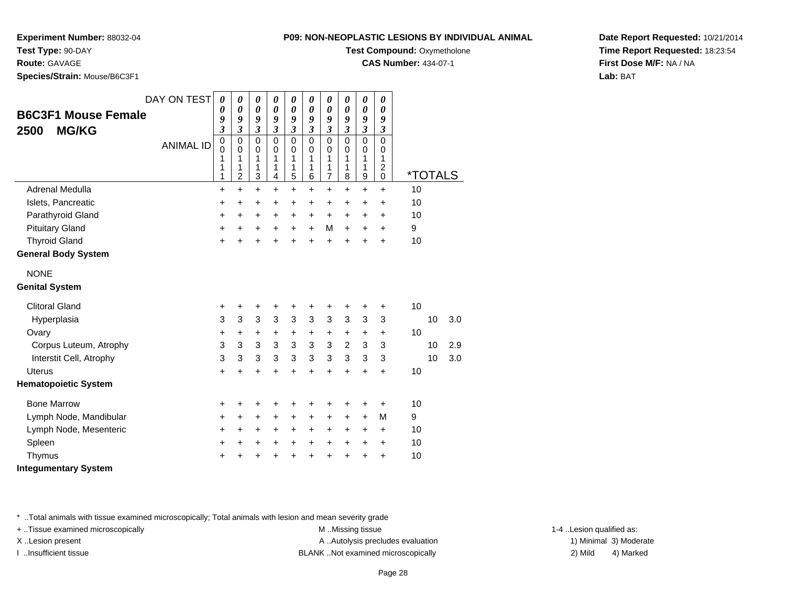**Experiment Number:** 88032-04**Test Type:** 90-DAY

**Route:** GAVAGE

**Species/Strain:** Mouse/B6C3F1

| <b>P09: NON-NEOPLASTIC LESIONS BY INDIVIDUAL ANIMAL</b> |  |
|---------------------------------------------------------|--|
|---------------------------------------------------------|--|

**Test Compound: Oxymetholone** 

**CAS Number:** 434-07-1

**Date Report Requested:** 10/21/2014**Time Report Requested:** 18:23:54**First Dose M/F:** NA / NA**Lab:** BAT

|                                                    | DAY ON TEST      | $\boldsymbol{\theta}$        | $\boldsymbol{\theta}$        | 0                            | 0                            | 0                            | 0                            | 0                                | $\boldsymbol{\theta}$        | 0                     | 0                            |    |                       |     |
|----------------------------------------------------|------------------|------------------------------|------------------------------|------------------------------|------------------------------|------------------------------|------------------------------|----------------------------------|------------------------------|-----------------------|------------------------------|----|-----------------------|-----|
| <b>B6C3F1 Mouse Female</b><br><b>MG/KG</b><br>2500 |                  | 0                            | $\boldsymbol{\theta}$        | $\boldsymbol{\theta}$        | $\boldsymbol{\theta}$        | $\boldsymbol{\theta}$        | $\boldsymbol{\theta}$        | $\boldsymbol{\theta}$            | $\boldsymbol{\theta}$        | $\boldsymbol{\theta}$ | $\boldsymbol{\theta}$        |    |                       |     |
|                                                    |                  | 9<br>$\overline{\mathbf{3}}$ | 9<br>$\overline{\mathbf{3}}$ | 9<br>$\overline{\mathbf{3}}$ | 9<br>$\overline{\mathbf{3}}$ | 9<br>$\overline{\mathbf{3}}$ | 9<br>$\overline{\mathbf{3}}$ | 9<br>$\boldsymbol{\mathfrak{z}}$ | 9<br>$\overline{\mathbf{3}}$ | 9<br>$\mathfrak{z}$   | 9<br>$\mathfrak{z}$          |    |                       |     |
|                                                    |                  | $\mathbf 0$                  | $\mathbf 0$                  | $\mathbf 0$                  | $\Omega$                     | $\Omega$                     | $\Omega$                     | $\mathbf 0$                      | $\Omega$                     | $\mathbf 0$           | $\mathbf 0$                  |    |                       |     |
|                                                    | <b>ANIMAL ID</b> | $\mathbf 0$                  | $\mathbf 0$                  | $\mathbf 0$                  | $\mathbf 0$                  | $\mathbf 0$                  | $\mathbf 0$                  | $\mathbf 0$                      | 0                            | $\mathbf 0$           | $\mathbf 0$                  |    |                       |     |
|                                                    |                  | 1<br>1                       | 1<br>1                       | 1<br>1                       | 1<br>1                       | 1<br>1                       | 1<br>1                       | 1<br>1                           | 1<br>1                       | 1<br>1                | 1<br>$\overline{\mathbf{c}}$ |    |                       |     |
|                                                    |                  | 1                            | 2                            | 3                            | 4                            | 5                            | 6                            | $\overline{7}$                   | 8                            | 9                     | $\Omega$                     |    | <i><b>*TOTALS</b></i> |     |
| Adrenal Medulla                                    |                  | +                            | $\ddot{}$                    | $\ddot{}$                    | +                            | $\ddot{}$                    | $\ddot{}$                    | $\ddot{}$                        | $\ddot{}$                    | $\ddot{}$             | $\ddot{}$                    | 10 |                       |     |
| Islets, Pancreatic                                 |                  | +                            | +                            | +                            | +                            | +                            | +                            | +                                | +                            | +                     | +                            | 10 |                       |     |
| Parathyroid Gland                                  |                  | +                            | $\ddot{}$                    | $\ddot{}$                    | $\ddot{}$                    | $\ddot{}$                    | $\ddot{}$                    | $\ddot{}$                        | $\ddot{}$                    | $\ddot{}$             | $\ddot{}$                    | 10 |                       |     |
| <b>Pituitary Gland</b>                             |                  | +                            | +                            | +                            | +                            | $\ddot{}$                    | $\ddot{}$                    | M                                | $\ddot{}$                    | $\ddot{}$             | +                            | 9  |                       |     |
| <b>Thyroid Gland</b>                               |                  | +                            | +                            | +                            | +                            | +                            | ÷                            | $\ddot{}$                        |                              | ÷                     | $\div$                       | 10 |                       |     |
| <b>General Body System</b>                         |                  |                              |                              |                              |                              |                              |                              |                                  |                              |                       |                              |    |                       |     |
| <b>NONE</b>                                        |                  |                              |                              |                              |                              |                              |                              |                                  |                              |                       |                              |    |                       |     |
| <b>Genital System</b>                              |                  |                              |                              |                              |                              |                              |                              |                                  |                              |                       |                              |    |                       |     |
| <b>Clitoral Gland</b>                              |                  | +                            | +                            | +                            | +                            | +                            | +                            | +                                | +                            | +                     | +                            | 10 |                       |     |
| Hyperplasia                                        |                  | 3                            | 3                            | 3                            | 3                            | 3                            | 3                            | 3                                | 3                            | 3                     | 3                            |    | 10                    | 3.0 |
| Ovary                                              |                  | +                            | $\ddot{}$                    | +                            | +                            | +                            | +                            | +                                | +                            | +                     | $\ddot{}$                    | 10 |                       |     |
| Corpus Luteum, Atrophy                             |                  | 3                            | 3                            | 3                            | 3                            | 3                            | 3                            | 3                                | $\overline{c}$               | 3                     | 3                            |    | 10                    | 2.9 |
| Interstit Cell, Atrophy                            |                  | 3                            | 3                            | 3                            | 3                            | 3                            | $\mathbf{3}$                 | 3                                | 3                            | 3                     | 3                            |    | 10                    | 3.0 |
| <b>Uterus</b>                                      |                  | +                            | $\ddot{}$                    | $\ddot{}$                    | $\ddot{}$                    | $\ddot{}$                    | $\ddot{}$                    | $\ddot{}$                        | $\ddot{}$                    | $\ddot{}$             | $\ddot{}$                    | 10 |                       |     |
| <b>Hematopoietic System</b>                        |                  |                              |                              |                              |                              |                              |                              |                                  |                              |                       |                              |    |                       |     |
| <b>Bone Marrow</b>                                 |                  | +                            | +                            | +                            | +                            | +                            | +                            | +                                | +                            | +                     | $\ddot{}$                    | 10 |                       |     |
| Lymph Node, Mandibular                             |                  | +                            | +                            | $\ddot{}$                    | +                            | +                            | +                            | +                                | $\ddot{}$                    | $\ddot{}$             | M                            | 9  |                       |     |
| Lymph Node, Mesenteric                             |                  | +                            | $\ddot{}$                    | +                            | $\ddot{}$                    | $\ddot{}$                    | $\ddot{}$                    | $\ddot{}$                        | $\ddot{}$                    | +                     | $\ddot{}$                    | 10 |                       |     |
| Spleen                                             |                  | +                            | +                            | +                            | +                            | +                            | +                            | $\boldsymbol{+}$                 | $\ddot{}$                    | $\ddot{}$             | $\ddot{}$                    | 10 |                       |     |
| Thymus                                             |                  | +                            |                              | +                            |                              | +                            |                              |                                  |                              | +                     | +                            | 10 |                       |     |
| <b>Integumentary System</b>                        |                  |                              |                              |                              |                              |                              |                              |                                  |                              |                       |                              |    |                       |     |

\* ..Total animals with tissue examined microscopically; Total animals with lesion and mean severity grade